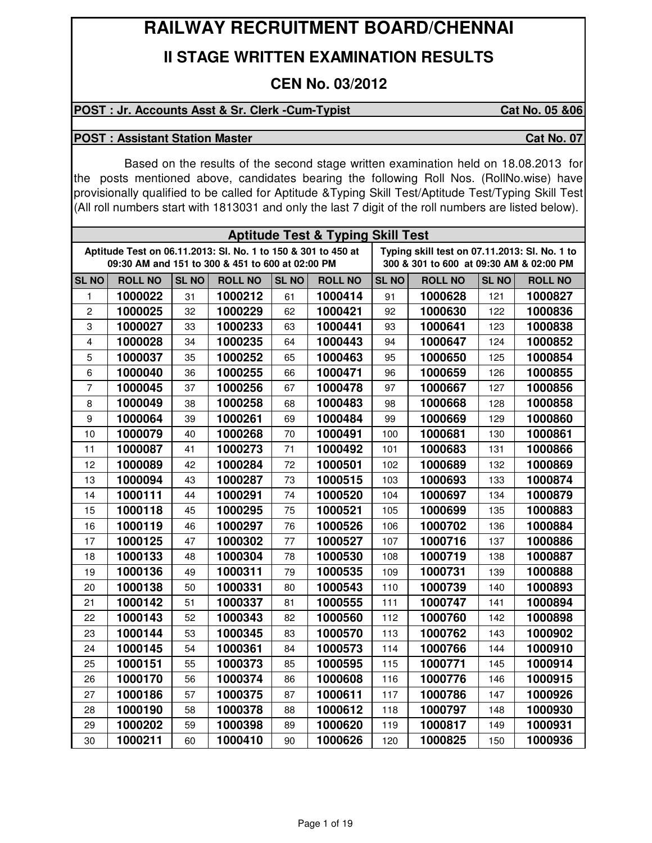# **RAILWAY RECRUITMENT BOARD/CHENNAI**

## **II STAGE WRITTEN EXAMINATION RESULTS**

## **CEN No. 03/2012**

### POST : Jr. Accounts Asst & Sr. Clerk -Cum-Typist Cat No. 05 &06

#### **POST : Assistant Station Master Cat No. 07 Cat No. 07**

Based on the results of the second stage written examination held on 18.08.2013 for the posts mentioned above, candidates bearing the following Roll Nos. (RollNo.wise) have provisionally qualified to be called for Aptitude &Typing Skill Test/Aptitude Test/Typing Skill Test (All roll numbers start with 1813031 and only the last 7 digit of the roll numbers are listed below).

| <b>Aptitude Test &amp; Typing Skill Test</b>                                                                                                                                                                  |                |              |                |              |                |              |                |              |                |  |  |  |
|---------------------------------------------------------------------------------------------------------------------------------------------------------------------------------------------------------------|----------------|--------------|----------------|--------------|----------------|--------------|----------------|--------------|----------------|--|--|--|
| Aptitude Test on 06.11.2013: Sl. No. 1 to 150 & 301 to 450 at<br>Typing skill test on 07.11.2013: Sl. No. 1 to<br>09:30 AM and 151 to 300 & 451 to 600 at 02:00 PM<br>300 & 301 to 600 at 09:30 AM & 02:00 PM |                |              |                |              |                |              |                |              |                |  |  |  |
| <b>SL NO</b>                                                                                                                                                                                                  | <b>ROLL NO</b> | <b>SL NO</b> | <b>ROLL NO</b> | <b>SL NO</b> | <b>ROLL NO</b> | <b>SL NO</b> | <b>ROLL NO</b> | <b>SL NO</b> | <b>ROLL NO</b> |  |  |  |
| 1                                                                                                                                                                                                             | 1000022        | 31           | 1000212        | 61           | 1000414        | 91           | 1000628        | 121          | 1000827        |  |  |  |
| $\overline{c}$                                                                                                                                                                                                | 1000025        | 32           | 1000229        | 62           | 1000421        | 92           | 1000630        | 122          | 1000836        |  |  |  |
| 3                                                                                                                                                                                                             | 1000027        | 33           | 1000233        | 63           | 1000441        | 93           | 1000641        | 123          | 1000838        |  |  |  |
| $\overline{4}$                                                                                                                                                                                                | 1000028        | 34           | 1000235        | 64           | 1000443        | 94           | 1000647        | 124          | 1000852        |  |  |  |
| 5                                                                                                                                                                                                             | 1000037        | 35           | 1000252        | 65           | 1000463        | 95           | 1000650        | 125          | 1000854        |  |  |  |
| 6                                                                                                                                                                                                             | 1000040        | 36           | 1000255        | 66           | 1000471        | 96           | 1000659        | 126          | 1000855        |  |  |  |
| $\overline{7}$                                                                                                                                                                                                | 1000045        | 37           | 1000256        | 67           | 1000478        | 97           | 1000667        | 127          | 1000856        |  |  |  |
| 8                                                                                                                                                                                                             | 1000049        | 38           | 1000258        | 68           | 1000483        | 98           | 1000668        | 128          | 1000858        |  |  |  |
| $\boldsymbol{9}$                                                                                                                                                                                              | 1000064        | 39           | 1000261        | 69           | 1000484        | 99           | 1000669        | 129          | 1000860        |  |  |  |
| 10                                                                                                                                                                                                            | 1000079        | 40           | 1000268        | 70           | 1000491        | 100          | 1000681        | 130          | 1000861        |  |  |  |
| 11                                                                                                                                                                                                            | 1000087        | 41           | 1000273        | 71           | 1000492        | 101          | 1000683        | 131          | 1000866        |  |  |  |
| 12                                                                                                                                                                                                            | 1000089        | 42           | 1000284        | 72           | 1000501        | 102          | 1000689        | 132          | 1000869        |  |  |  |
| 13                                                                                                                                                                                                            | 1000094        | 43           | 1000287        | 73           | 1000515        | 103          | 1000693        | 133          | 1000874        |  |  |  |
| 14                                                                                                                                                                                                            | 1000111        | 44           | 1000291        | 74           | 1000520        | 104          | 1000697        | 134          | 1000879        |  |  |  |
| 15                                                                                                                                                                                                            | 1000118        | 45           | 1000295        | 75           | 1000521        | 105          | 1000699        | 135          | 1000883        |  |  |  |
| 16                                                                                                                                                                                                            | 1000119        | 46           | 1000297        | 76           | 1000526        | 106          | 1000702        | 136          | 1000884        |  |  |  |
| 17                                                                                                                                                                                                            | 1000125        | 47           | 1000302        | 77           | 1000527        | 107          | 1000716        | 137          | 1000886        |  |  |  |
| 18                                                                                                                                                                                                            | 1000133        | 48           | 1000304        | 78           | 1000530        | 108          | 1000719        | 138          | 1000887        |  |  |  |
| 19                                                                                                                                                                                                            | 1000136        | 49           | 1000311        | 79           | 1000535        | 109          | 1000731        | 139          | 1000888        |  |  |  |
| 20                                                                                                                                                                                                            | 1000138        | 50           | 1000331        | 80           | 1000543        | 110          | 1000739        | 140          | 1000893        |  |  |  |
| 21                                                                                                                                                                                                            | 1000142        | 51           | 1000337        | 81           | 1000555        | 111          | 1000747        | 141          | 1000894        |  |  |  |
| 22                                                                                                                                                                                                            | 1000143        | 52           | 1000343        | 82           | 1000560        | 112          | 1000760        | 142          | 1000898        |  |  |  |
| 23                                                                                                                                                                                                            | 1000144        | 53           | 1000345        | 83           | 1000570        | 113          | 1000762        | 143          | 1000902        |  |  |  |
| 24                                                                                                                                                                                                            | 1000145        | 54           | 1000361        | 84           | 1000573        | 114          | 1000766        | 144          | 1000910        |  |  |  |
| 25                                                                                                                                                                                                            | 1000151        | 55           | 1000373        | 85           | 1000595        | 115          | 1000771        | 145          | 1000914        |  |  |  |
| 26                                                                                                                                                                                                            | 1000170        | 56           | 1000374        | 86           | 1000608        | 116          | 1000776        | 146          | 1000915        |  |  |  |
| 27                                                                                                                                                                                                            | 1000186        | 57           | 1000375        | 87           | 1000611        | 117          | 1000786        | 147          | 1000926        |  |  |  |
| 28                                                                                                                                                                                                            | 1000190        | 58           | 1000378        | 88           | 1000612        | 118          | 1000797        | 148          | 1000930        |  |  |  |
| 29                                                                                                                                                                                                            | 1000202        | 59           | 1000398        | 89           | 1000620        | 119          | 1000817        | 149          | 1000931        |  |  |  |
| 30                                                                                                                                                                                                            | 1000211        | 60           | 1000410        | 90           | 1000626        | 120          | 1000825        | 150          | 1000936        |  |  |  |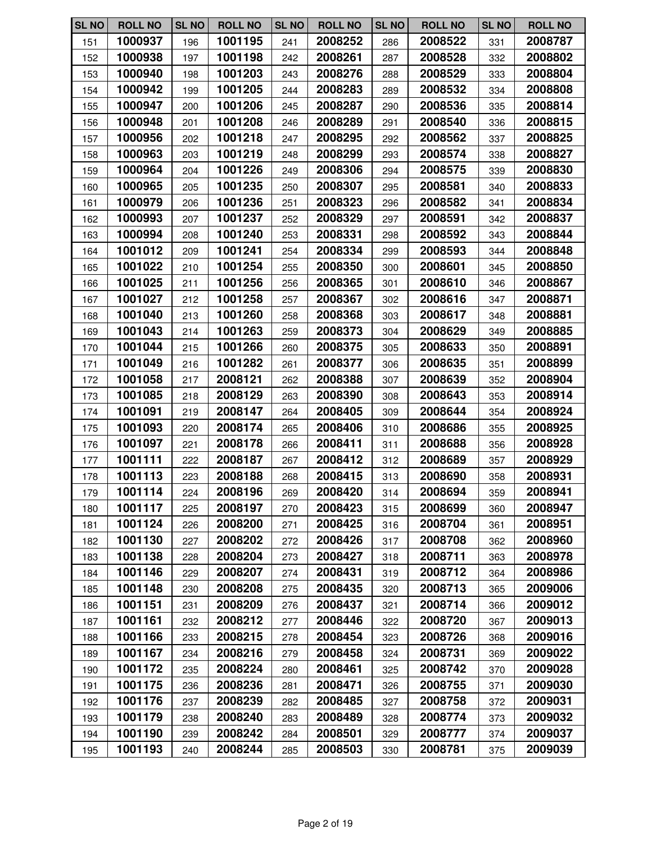| <b>SL NO</b> | <b>ROLL NO</b> | <b>SL NO</b> | <b>ROLL NO</b> | <b>SL NO</b> | <b>ROLL NO</b> | <b>SL NO</b> | <b>ROLL NO</b> | <b>SL NO</b> | <b>ROLL NO</b> |
|--------------|----------------|--------------|----------------|--------------|----------------|--------------|----------------|--------------|----------------|
| 151          | 1000937        | 196          | 1001195        | 241          | 2008252        | 286          | 2008522        | 331          | 2008787        |
| 152          | 1000938        | 197          | 1001198        | 242          | 2008261        | 287          | 2008528        | 332          | 2008802        |
| 153          | 1000940        | 198          | 1001203        | 243          | 2008276        | 288          | 2008529        | 333          | 2008804        |
| 154          | 1000942        | 199          | 1001205        | 244          | 2008283        | 289          | 2008532        | 334          | 2008808        |
| 155          | 1000947        | 200          | 1001206        | 245          | 2008287        | 290          | 2008536        | 335          | 2008814        |
| 156          | 1000948        | 201          | 1001208        | 246          | 2008289        | 291          | 2008540        | 336          | 2008815        |
| 157          | 1000956        | 202          | 1001218        | 247          | 2008295        | 292          | 2008562        | 337          | 2008825        |
| 158          | 1000963        | 203          | 1001219        | 248          | 2008299        | 293          | 2008574        | 338          | 2008827        |
| 159          | 1000964        | 204          | 1001226        | 249          | 2008306        | 294          | 2008575        | 339          | 2008830        |
| 160          | 1000965        | 205          | 1001235        | 250          | 2008307        | 295          | 2008581        | 340          | 2008833        |
| 161          | 1000979        | 206          | 1001236        | 251          | 2008323        | 296          | 2008582        | 341          | 2008834        |
| 162          | 1000993        | 207          | 1001237        | 252          | 2008329        | 297          | 2008591        | 342          | 2008837        |
| 163          | 1000994        | 208          | 1001240        | 253          | 2008331        | 298          | 2008592        | 343          | 2008844        |
| 164          | 1001012        | 209          | 1001241        | 254          | 2008334        | 299          | 2008593        | 344          | 2008848        |
| 165          | 1001022        | 210          | 1001254        | 255          | 2008350        | 300          | 2008601        | 345          | 2008850        |
| 166          | 1001025        | 211          | 1001256        | 256          | 2008365        | 301          | 2008610        | 346          | 2008867        |
| 167          | 1001027        | 212          | 1001258        | 257          | 2008367        | 302          | 2008616        | 347          | 2008871        |
| 168          | 1001040        | 213          | 1001260        | 258          | 2008368        | 303          | 2008617        | 348          | 2008881        |
| 169          | 1001043        | 214          | 1001263        | 259          | 2008373        | 304          | 2008629        | 349          | 2008885        |
| 170          | 1001044        | 215          | 1001266        | 260          | 2008375        | 305          | 2008633        | 350          | 2008891        |
| 171          | 1001049        | 216          | 1001282        | 261          | 2008377        | 306          | 2008635        | 351          | 2008899        |
| 172          | 1001058        | 217          | 2008121        | 262          | 2008388        | 307          | 2008639        | 352          | 2008904        |
| 173          | 1001085        | 218          | 2008129        | 263          | 2008390        | 308          | 2008643        | 353          | 2008914        |
| 174          | 1001091        | 219          | 2008147        | 264          | 2008405        | 309          | 2008644        | 354          | 2008924        |
| 175          | 1001093        | 220          | 2008174        | 265          | 2008406        | 310          | 2008686        | 355          | 2008925        |
| 176          | 1001097        | 221          | 2008178        | 266          | 2008411        | 311          | 2008688        | 356          | 2008928        |
| 177          | 1001111        | 222          | 2008187        | 267          | 2008412        | 312          | 2008689        | 357          | 2008929        |
| 178          | 1001113        | 223          | 2008188        | 268          | 2008415        | 313          | 2008690        | 358          | 2008931        |
| 179          | 1001114        | 224          | 2008196        | 269          | 2008420        | 314          | 2008694        | 359          | 2008941        |
| 180          | 1001117        | 225          | 2008197        | 270          | 2008423        | 315          | 2008699        | 360          | 2008947        |
| 181          | 1001124        | 226          | 2008200        | 271          | 2008425        | 316          | 2008704        | 361          | 2008951        |
| 182          | 1001130        | 227          | 2008202        | 272          | 2008426        | 317          | 2008708        | 362          | 2008960        |
| 183          | 1001138        | 228          | 2008204        | 273          | 2008427        | 318          | 2008711        | 363          | 2008978        |
| 184          | 1001146        | 229          | 2008207        | 274          | 2008431        | 319          | 2008712        | 364          | 2008986        |
| 185          | 1001148        | 230          | 2008208        | 275          | 2008435        | 320          | 2008713        | 365          | 2009006        |
| 186          | 1001151        | 231          | 2008209        | 276          | 2008437        | 321          | 2008714        | 366          | 2009012        |
| 187          | 1001161        | 232          | 2008212        | 277          | 2008446        | 322          | 2008720        | 367          | 2009013        |
| 188          | 1001166        | 233          | 2008215        | 278          | 2008454        | 323          | 2008726        | 368          | 2009016        |
| 189          | 1001167        | 234          | 2008216        | 279          | 2008458        | 324          | 2008731        | 369          | 2009022        |
| 190          | 1001172        | 235          | 2008224        | 280          | 2008461        | 325          | 2008742        | 370          | 2009028        |
| 191          | 1001175        | 236          | 2008236        | 281          | 2008471        | 326          | 2008755        | 371          | 2009030        |
| 192          | 1001176        | 237          | 2008239        | 282          | 2008485        | 327          | 2008758        | 372          | 2009031        |
| 193          | 1001179        | 238          | 2008240        | 283          | 2008489        | 328          | 2008774        | 373          | 2009032        |
| 194          | 1001190        | 239          | 2008242        | 284          | 2008501        | 329          | 2008777        | 374          | 2009037        |
| 195          | 1001193        | 240          | 2008244        | 285          | 2008503        | 330          | 2008781        | 375          | 2009039        |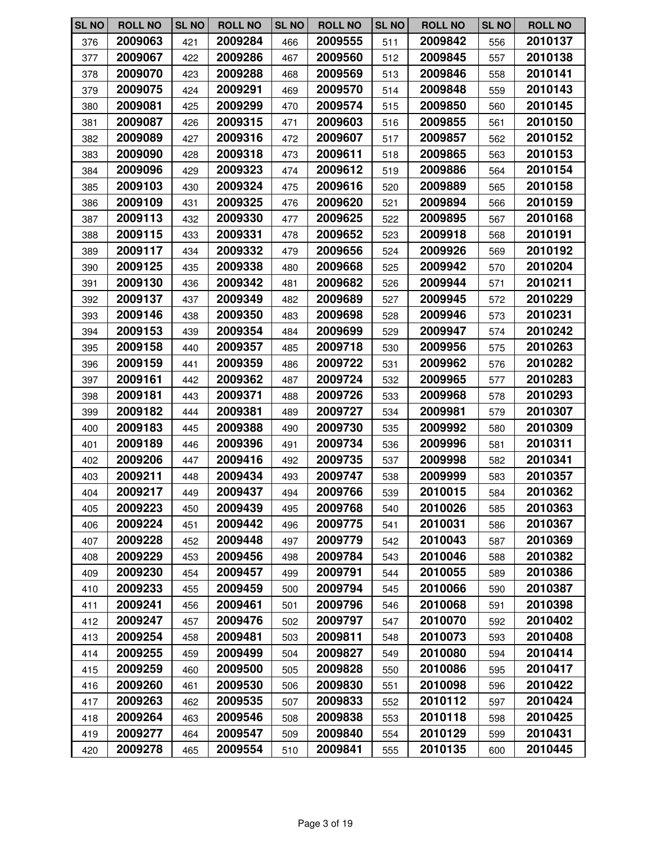| <b>SL NO</b> | <b>ROLL NO</b> | <b>SL NO</b> | <b>ROLL NO</b> | <b>SL NO</b> | <b>ROLL NO</b> | <b>SL NO</b> | <b>ROLL NO</b> | <b>SL NO</b> | <b>ROLL NO</b> |
|--------------|----------------|--------------|----------------|--------------|----------------|--------------|----------------|--------------|----------------|
| 376          | 2009063        | 421          | 2009284        | 466          | 2009555        | 511          | 2009842        | 556          | 2010137        |
| 377          | 2009067        | 422          | 2009286        | 467          | 2009560        | 512          | 2009845        | 557          | 2010138        |
| 378          | 2009070        | 423          | 2009288        | 468          | 2009569        | 513          | 2009846        | 558          | 2010141        |
| 379          | 2009075        | 424          | 2009291        | 469          | 2009570        | 514          | 2009848        | 559          | 2010143        |
| 380          | 2009081        | 425          | 2009299        | 470          | 2009574        | 515          | 2009850        | 560          | 2010145        |
| 381          | 2009087        | 426          | 2009315        | 471          | 2009603        | 516          | 2009855        | 561          | 2010150        |
| 382          | 2009089        | 427          | 2009316        | 472          | 2009607        | 517          | 2009857        | 562          | 2010152        |
| 383          | 2009090        | 428          | 2009318        | 473          | 2009611        | 518          | 2009865        | 563          | 2010153        |
| 384          | 2009096        | 429          | 2009323        | 474          | 2009612        | 519          | 2009886        | 564          | 2010154        |
| 385          | 2009103        | 430          | 2009324        | 475          | 2009616        | 520          | 2009889        | 565          | 2010158        |
| 386          | 2009109        | 431          | 2009325        | 476          | 2009620        | 521          | 2009894        | 566          | 2010159        |
| 387          | 2009113        | 432          | 2009330        | 477          | 2009625        | 522          | 2009895        | 567          | 2010168        |
| 388          | 2009115        | 433          | 2009331        | 478          | 2009652        | 523          | 2009918        | 568          | 2010191        |
| 389          | 2009117        | 434          | 2009332        | 479          | 2009656        | 524          | 2009926        | 569          | 2010192        |
| 390          | 2009125        | 435          | 2009338        | 480          | 2009668        | 525          | 2009942        | 570          | 2010204        |
| 391          | 2009130        | 436          | 2009342        | 481          | 2009682        | 526          | 2009944        | 571          | 2010211        |
| 392          | 2009137        | 437          | 2009349        | 482          | 2009689        | 527          | 2009945        | 572          | 2010229        |
| 393          | 2009146        | 438          | 2009350        | 483          | 2009698        | 528          | 2009946        | 573          | 2010231        |
| 394          | 2009153        | 439          | 2009354        | 484          | 2009699        | 529          | 2009947        | 574          | 2010242        |
| 395          | 2009158        | 440          | 2009357        | 485          | 2009718        | 530          | 2009956        | 575          | 2010263        |
| 396          | 2009159        | 441          | 2009359        | 486          | 2009722        | 531          | 2009962        | 576          | 2010282        |
| 397          | 2009161        | 442          | 2009362        | 487          | 2009724        | 532          | 2009965        | 577          | 2010283        |
| 398          | 2009181        | 443          | 2009371        | 488          | 2009726        | 533          | 2009968        | 578          | 2010293        |
| 399          | 2009182        | 444          | 2009381        | 489          | 2009727        | 534          | 2009981        | 579          | 2010307        |
| 400          | 2009183        | 445          | 2009388        | 490          | 2009730        | 535          | 2009992        | 580          | 2010309        |
| 401          | 2009189        | 446          | 2009396        | 491          | 2009734        | 536          | 2009996        | 581          | 2010311        |
| 402          | 2009206        | 447          | 2009416        | 492          | 2009735        | 537          | 2009998        | 582          | 2010341        |
| 403          | 2009211        | 448          | 2009434        | 493          | 2009747        | 538          | 2009999        | 583          | 2010357        |
| 404          | 2009217        | 449          | 2009437        | 494          | 2009766        | 539          | 2010015        | 584          | 2010362        |
| 405          | 2009223        | 450          | 2009439        | 495          | 2009768        | 540          | 2010026        | 585          | 2010363        |
| 406          | 2009224        | 451          | 2009442        | 496          | 2009775        | 541          | 2010031        | 586          | 2010367        |
| 407          | 2009228        | 452          | 2009448        | 497          | 2009779        | 542          | 2010043        | 587          | 2010369        |
| 408          | 2009229        | 453          | 2009456        | 498          | 2009784        | 543          | 2010046        | 588          | 2010382        |
| 409          | 2009230        | 454          | 2009457        | 499          | 2009791        | 544          | 2010055        | 589          | 2010386        |
| 410          | 2009233        | 455          | 2009459        | 500          | 2009794        | 545          | 2010066        | 590          | 2010387        |
| 411          | 2009241        | 456          | 2009461        | 501          | 2009796        | 546          | 2010068        | 591          | 2010398        |
| 412          | 2009247        | 457          | 2009476        | 502          | 2009797        | 547          | 2010070        | 592          | 2010402        |
| 413          | 2009254        | 458          | 2009481        | 503          | 2009811        | 548          | 2010073        | 593          | 2010408        |
| 414          | 2009255        | 459          | 2009499        | 504          | 2009827        | 549          | 2010080        | 594          | 2010414        |
| 415          | 2009259        | 460          | 2009500        | 505          | 2009828        | 550          | 2010086        | 595          | 2010417        |
| 416          | 2009260        | 461          | 2009530        | 506          | 2009830        | 551          | 2010098        | 596          | 2010422        |
| 417          | 2009263        | 462          | 2009535        | 507          | 2009833        | 552          | 2010112        | 597          | 2010424        |
| 418          | 2009264        | 463          | 2009546        | 508          | 2009838        | 553          | 2010118        | 598          | 2010425        |
| 419          | 2009277        | 464          | 2009547        | 509          | 2009840        | 554          | 2010129        | 599          | 2010431        |
| 420          | 2009278        | 465          | 2009554        | 510          | 2009841        | 555          | 2010135        | 600          | 2010445        |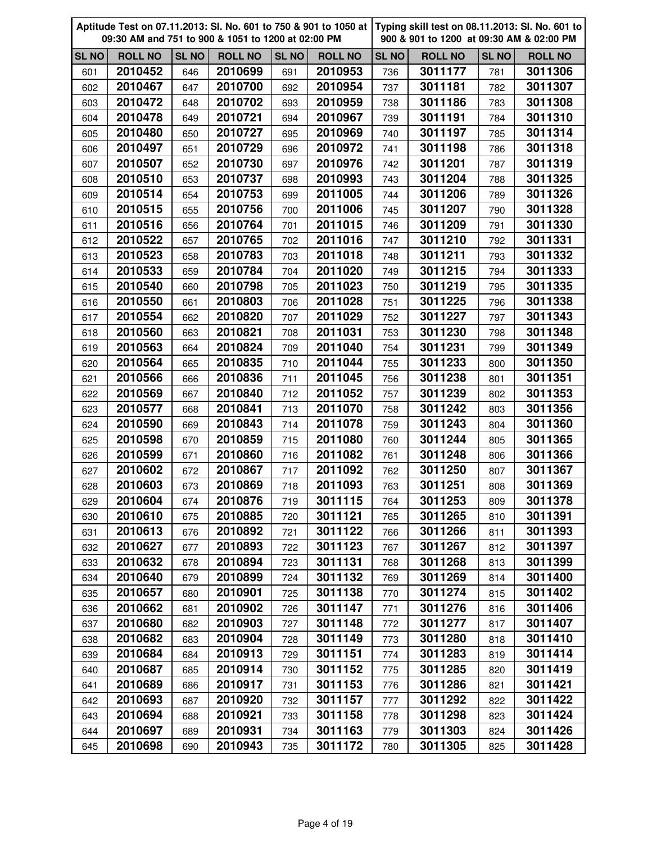|              | Aptitude Test on 07.11.2013: Sl. No. 601 to 750 & 901 to 1050 at<br>09:30 AM and 751 to 900 & 1051 to 1200 at 02:00 PM |              |                | Typing skill test on 08.11.2013: SI. No. 601 to<br>900 & 901 to 1200 at 09:30 AM & 02:00 PM |                |              |                |              |                |
|--------------|------------------------------------------------------------------------------------------------------------------------|--------------|----------------|---------------------------------------------------------------------------------------------|----------------|--------------|----------------|--------------|----------------|
| <b>SL NO</b> | <b>ROLL NO</b>                                                                                                         | <b>SL NO</b> | <b>ROLL NO</b> | <b>SL NO</b>                                                                                | <b>ROLL NO</b> | <b>SL NO</b> | <b>ROLL NO</b> | <b>SL NO</b> | <b>ROLL NO</b> |
| 601          | 2010452                                                                                                                | 646          | 2010699        | 691                                                                                         | 2010953        | 736          | 3011177        | 781          | 3011306        |
| 602          | 2010467                                                                                                                | 647          | 2010700        | 692                                                                                         | 2010954        | 737          | 3011181        | 782          | 3011307        |
| 603          | 2010472                                                                                                                | 648          | 2010702        | 693                                                                                         | 2010959        | 738          | 3011186        | 783          | 3011308        |
| 604          | 2010478                                                                                                                | 649          | 2010721        | 694                                                                                         | 2010967        | 739          | 3011191        | 784          | 3011310        |
| 605          | 2010480                                                                                                                | 650          | 2010727        | 695                                                                                         | 2010969        | 740          | 3011197        | 785          | 3011314        |
| 606          | 2010497                                                                                                                | 651          | 2010729        | 696                                                                                         | 2010972        | 741          | 3011198        | 786          | 3011318        |
| 607          | 2010507                                                                                                                | 652          | 2010730        | 697                                                                                         | 2010976        | 742          | 3011201        | 787          | 3011319        |
| 608          | 2010510                                                                                                                | 653          | 2010737        | 698                                                                                         | 2010993        | 743          | 3011204        | 788          | 3011325        |
| 609          | 2010514                                                                                                                | 654          | 2010753        | 699                                                                                         | 2011005        | 744          | 3011206        | 789          | 3011326        |
| 610          | 2010515                                                                                                                | 655          | 2010756        | 700                                                                                         | 2011006        | 745          | 3011207        | 790          | 3011328        |
| 611          | 2010516                                                                                                                | 656          | 2010764        | 701                                                                                         | 2011015        | 746          | 3011209        | 791          | 3011330        |
| 612          | 2010522                                                                                                                | 657          | 2010765        | 702                                                                                         | 2011016        | 747          | 3011210        | 792          | 3011331        |
| 613          | 2010523                                                                                                                | 658          | 2010783        | 703                                                                                         | 2011018        | 748          | 3011211        | 793          | 3011332        |
| 614          | 2010533                                                                                                                | 659          | 2010784        | 704                                                                                         | 2011020        | 749          | 3011215        | 794          | 3011333        |
| 615          | 2010540                                                                                                                | 660          | 2010798        | 705                                                                                         | 2011023        | 750          | 3011219        | 795          | 3011335        |
| 616          | 2010550                                                                                                                | 661          | 2010803        | 706                                                                                         | 2011028        | 751          | 3011225        | 796          | 3011338        |
| 617          | 2010554                                                                                                                | 662          | 2010820        | 707                                                                                         | 2011029        | 752          | 3011227        | 797          | 3011343        |
| 618          | 2010560                                                                                                                | 663          | 2010821        | 708                                                                                         | 2011031        | 753          | 3011230        | 798          | 3011348        |
| 619          | 2010563                                                                                                                | 664          | 2010824        | 709                                                                                         | 2011040        | 754          | 3011231        | 799          | 3011349        |
| 620          | 2010564                                                                                                                | 665          | 2010835        | 710                                                                                         | 2011044        | 755          | 3011233        | 800          | 3011350        |
| 621          | 2010566                                                                                                                | 666          | 2010836        | 711                                                                                         | 2011045        | 756          | 3011238        | 801          | 3011351        |
| 622          | 2010569                                                                                                                | 667          | 2010840        | 712                                                                                         | 2011052        | 757          | 3011239        | 802          | 3011353        |
| 623          | 2010577                                                                                                                | 668          | 2010841        | 713                                                                                         | 2011070        | 758          | 3011242        | 803          | 3011356        |
| 624          | 2010590                                                                                                                | 669          | 2010843        | 714                                                                                         | 2011078        | 759          | 3011243        | 804          | 3011360        |
| 625          | 2010598                                                                                                                | 670          | 2010859        | 715                                                                                         | 2011080        | 760          | 3011244        | 805          | 3011365        |
| 626          | 2010599                                                                                                                | 671          | 2010860        | 716                                                                                         | 2011082        | 761          | 3011248        | 806          | 3011366        |
| 627          | 2010602                                                                                                                | 672          | 2010867        | 717                                                                                         | 2011092        | 762          | 3011250        | 807          | 3011367        |
| 628          | 2010603                                                                                                                | 673          | 2010869        | 718                                                                                         | 2011093        | 763          | 3011251        | 808          | 3011369        |
| 629          | 2010604                                                                                                                | 674          | 2010876        | 719                                                                                         | 3011115        | 764          | 3011253        | 809          | 3011378        |
| 630          | 2010610                                                                                                                | 675          | 2010885        | 720                                                                                         | 3011121        | 765          | 3011265        | 810          | 3011391        |
| 631          | 2010613                                                                                                                | 676          | 2010892        | 721                                                                                         | 3011122        | 766          | 3011266        | 811          | 3011393        |
| 632          | 2010627                                                                                                                | 677          | 2010893        | 722                                                                                         | 3011123        | 767          | 3011267        | 812          | 3011397        |
| 633          | 2010632                                                                                                                | 678          | 2010894        | 723                                                                                         | 3011131        | 768          | 3011268        | 813          | 3011399        |
| 634          | 2010640                                                                                                                | 679          | 2010899        | 724                                                                                         | 3011132        | 769          | 3011269        | 814          | 3011400        |
| 635          | 2010657                                                                                                                | 680          | 2010901        | 725                                                                                         | 3011138        | 770          | 3011274        | 815          | 3011402        |
| 636          | 2010662                                                                                                                | 681          | 2010902        | 726                                                                                         | 3011147        | 771          | 3011276        | 816          | 3011406        |
| 637          | 2010680                                                                                                                | 682          | 2010903        | 727                                                                                         | 3011148        | 772          | 3011277        | 817          | 3011407        |
| 638          | 2010682                                                                                                                | 683          | 2010904        | 728                                                                                         | 3011149        | 773          | 3011280        | 818          | 3011410        |
| 639          | 2010684                                                                                                                | 684          | 2010913        | 729                                                                                         | 3011151        | 774          | 3011283        | 819          | 3011414        |
| 640          | 2010687                                                                                                                | 685          | 2010914        | 730                                                                                         | 3011152        | 775          | 3011285        | 820          | 3011419        |
| 641          | 2010689                                                                                                                | 686          | 2010917        | 731                                                                                         | 3011153        | 776          | 3011286        | 821          | 3011421        |
| 642          | 2010693                                                                                                                | 687          | 2010920        | 732                                                                                         | 3011157        | 777          | 3011292        | 822          | 3011422        |
| 643          | 2010694                                                                                                                | 688          | 2010921        | 733                                                                                         | 3011158        | 778          | 3011298        | 823          | 3011424        |
| 644          | 2010697                                                                                                                | 689          | 2010931        | 734                                                                                         | 3011163        | 779          | 3011303        | 824          | 3011426        |
| 645          | 2010698                                                                                                                | 690          | 2010943        | 735                                                                                         | 3011172        | 780          | 3011305        | 825          | 3011428        |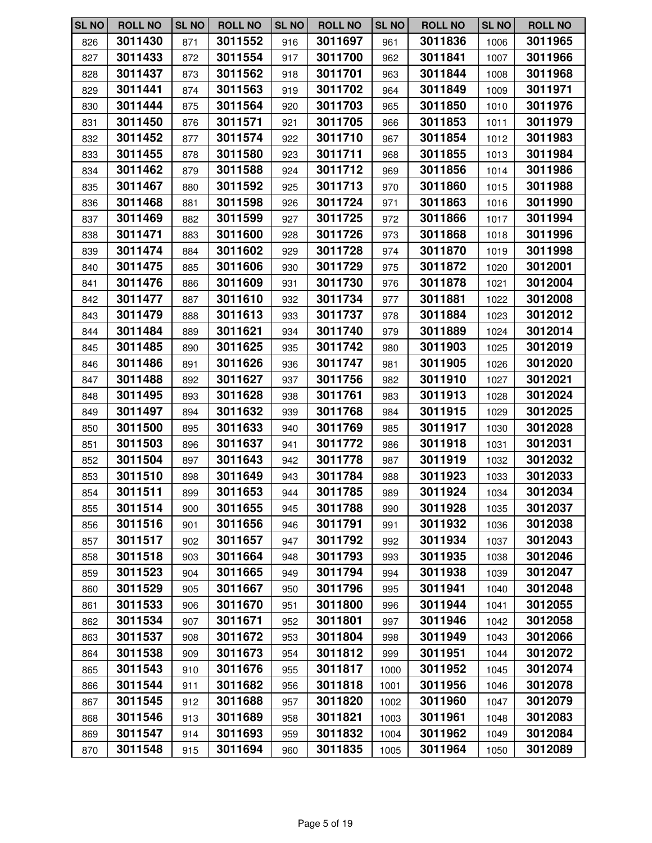| <b>SL NO</b> | <b>ROLL NO</b> | <b>SL NO</b> | <b>ROLL NO</b> | <b>SL NO</b> | <b>ROLL NO</b> | <b>SL NO</b> | <b>ROLL NO</b> | <b>SL NO</b> | <b>ROLL NO</b> |
|--------------|----------------|--------------|----------------|--------------|----------------|--------------|----------------|--------------|----------------|
| 826          | 3011430        | 871          | 3011552        | 916          | 3011697        | 961          | 3011836        | 1006         | 3011965        |
| 827          | 3011433        | 872          | 3011554        | 917          | 3011700        | 962          | 3011841        | 1007         | 3011966        |
| 828          | 3011437        | 873          | 3011562        | 918          | 3011701        | 963          | 3011844        | 1008         | 3011968        |
| 829          | 3011441        | 874          | 3011563        | 919          | 3011702        | 964          | 3011849        | 1009         | 3011971        |
| 830          | 3011444        | 875          | 3011564        | 920          | 3011703        | 965          | 3011850        | 1010         | 3011976        |
| 831          | 3011450        | 876          | 3011571        | 921          | 3011705        | 966          | 3011853        | 1011         | 3011979        |
| 832          | 3011452        | 877          | 3011574        | 922          | 3011710        | 967          | 3011854        | 1012         | 3011983        |
| 833          | 3011455        | 878          | 3011580        | 923          | 3011711        | 968          | 3011855        | 1013         | 3011984        |
| 834          | 3011462        | 879          | 3011588        | 924          | 3011712        | 969          | 3011856        | 1014         | 3011986        |
| 835          | 3011467        | 880          | 3011592        | 925          | 3011713        | 970          | 3011860        | 1015         | 3011988        |
| 836          | 3011468        | 881          | 3011598        | 926          | 3011724        | 971          | 3011863        | 1016         | 3011990        |
| 837          | 3011469        | 882          | 3011599        | 927          | 3011725        | 972          | 3011866        | 1017         | 3011994        |
| 838          | 3011471        | 883          | 3011600        | 928          | 3011726        | 973          | 3011868        | 1018         | 3011996        |
| 839          | 3011474        | 884          | 3011602        | 929          | 3011728        | 974          | 3011870        | 1019         | 3011998        |
| 840          | 3011475        | 885          | 3011606        | 930          | 3011729        | 975          | 3011872        | 1020         | 3012001        |
| 841          | 3011476        | 886          | 3011609        | 931          | 3011730        | 976          | 3011878        | 1021         | 3012004        |
| 842          | 3011477        | 887          | 3011610        | 932          | 3011734        | 977          | 3011881        | 1022         | 3012008        |
| 843          | 3011479        | 888          | 3011613        | 933          | 3011737        | 978          | 3011884        | 1023         | 3012012        |
| 844          | 3011484        | 889          | 3011621        | 934          | 3011740        | 979          | 3011889        | 1024         | 3012014        |
| 845          | 3011485        | 890          | 3011625        | 935          | 3011742        | 980          | 3011903        | 1025         | 3012019        |
| 846          | 3011486        | 891          | 3011626        | 936          | 3011747        | 981          | 3011905        | 1026         | 3012020        |
| 847          | 3011488        | 892          | 3011627        | 937          | 3011756        | 982          | 3011910        | 1027         | 3012021        |
| 848          | 3011495        | 893          | 3011628        | 938          | 3011761        | 983          | 3011913        | 1028         | 3012024        |
| 849          | 3011497        | 894          | 3011632        | 939          | 3011768        | 984          | 3011915        | 1029         | 3012025        |
| 850          | 3011500        | 895          | 3011633        | 940          | 3011769        | 985          | 3011917        | 1030         | 3012028        |
| 851          | 3011503        | 896          | 3011637        | 941          | 3011772        | 986          | 3011918        | 1031         | 3012031        |
| 852          | 3011504        | 897          | 3011643        | 942          | 3011778        | 987          | 3011919        | 1032         | 3012032        |
| 853          | 3011510        | 898          | 3011649        | 943          | 3011784        | 988          | 3011923        | 1033         | 3012033        |
| 854          | 3011511        | 899          | 3011653        | 944          | 3011785        | 989          | 3011924        | 1034         | 3012034        |
| 855          | 3011514        | 900          | 3011655        | 945          | 3011788        | 990          | 3011928        | 1035         | 3012037        |
| 856          | 3011516        | 901          | 3011656        | 946          | 3011791        | 991          | 3011932        | 1036         | 3012038        |
| 857          | 3011517        | 902          | 3011657        | 947          | 3011792        | 992          | 3011934        | 1037         | 3012043        |
| 858          | 3011518        | 903          | 3011664        | 948          | 3011793        | 993          | 3011935        | 1038         | 3012046        |
| 859          | 3011523        | 904          | 3011665        | 949          | 3011794        | 994          | 3011938        | 1039         | 3012047        |
| 860          | 3011529        | 905          | 3011667        | 950          | 3011796        | 995          | 3011941        | 1040         | 3012048        |
| 861          | 3011533        | 906          | 3011670        | 951          | 3011800        | 996          | 3011944        | 1041         | 3012055        |
| 862          | 3011534        | 907          | 3011671        | 952          | 3011801        | 997          | 3011946        | 1042         | 3012058        |
| 863          | 3011537        | 908          | 3011672        | 953          | 3011804        | 998          | 3011949        | 1043         | 3012066        |
| 864          | 3011538        | 909          | 3011673        | 954          | 3011812        | 999          | 3011951        | 1044         | 3012072        |
| 865          | 3011543        | 910          | 3011676        | 955          | 3011817        | 1000         | 3011952        | 1045         | 3012074        |
| 866          | 3011544        | 911          | 3011682        | 956          | 3011818        | 1001         | 3011956        | 1046         | 3012078        |
| 867          | 3011545        | 912          | 3011688        | 957          | 3011820        | 1002         | 3011960        | 1047         | 3012079        |
| 868          | 3011546        | 913          | 3011689        | 958          | 3011821        | 1003         | 3011961        | 1048         | 3012083        |
| 869          | 3011547        | 914          | 3011693        | 959          | 3011832        | 1004         | 3011962        | 1049         | 3012084        |
| 870          | 3011548        | 915          | 3011694        | 960          | 3011835        | 1005         | 3011964        | 1050         | 3012089        |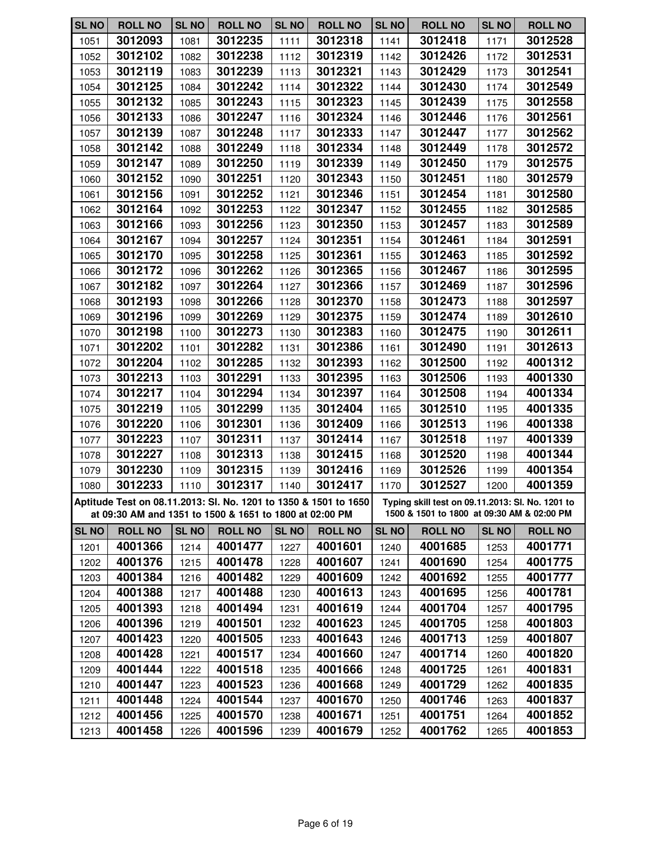| <b>SL NO</b> | <b>ROLL NO</b> | <b>SL NO</b> | <b>ROLL NO</b>                                                                                                              | <b>SL NO</b> | <b>ROLL NO</b> | <b>SL NO</b> | <b>ROLL NO</b>                                                                                 | <b>SL NO</b> | <b>ROLL NO</b> |
|--------------|----------------|--------------|-----------------------------------------------------------------------------------------------------------------------------|--------------|----------------|--------------|------------------------------------------------------------------------------------------------|--------------|----------------|
| 1051         | 3012093        | 1081         | 3012235                                                                                                                     | 1111         | 3012318        | 1141         | 3012418                                                                                        | 1171         | 3012528        |
| 1052         | 3012102        | 1082         | 3012238                                                                                                                     | 1112         | 3012319        | 1142         | 3012426                                                                                        | 1172         | 3012531        |
| 1053         | 3012119        | 1083         | 3012239                                                                                                                     | 1113         | 3012321        | 1143         | 3012429                                                                                        | 1173         | 3012541        |
| 1054         | 3012125        | 1084         | 3012242                                                                                                                     | 1114         | 3012322        | 1144         | 3012430                                                                                        | 1174         | 3012549        |
| 1055         | 3012132        | 1085         | 3012243                                                                                                                     | 1115         | 3012323        | 1145         | 3012439                                                                                        | 1175         | 3012558        |
| 1056         | 3012133        | 1086         | 3012247                                                                                                                     | 1116         | 3012324        | 1146         | 3012446                                                                                        | 1176         | 3012561        |
| 1057         | 3012139        | 1087         | 3012248                                                                                                                     | 1117         | 3012333        | 1147         | 3012447                                                                                        | 1177         | 3012562        |
| 1058         | 3012142        | 1088         | 3012249                                                                                                                     | 1118         | 3012334        | 1148         | 3012449                                                                                        | 1178         | 3012572        |
| 1059         | 3012147        | 1089         | 3012250                                                                                                                     | 1119         | 3012339        | 1149         | 3012450                                                                                        | 1179         | 3012575        |
| 1060         | 3012152        | 1090         | 3012251                                                                                                                     | 1120         | 3012343        | 1150         | 3012451                                                                                        | 1180         | 3012579        |
| 1061         | 3012156        | 1091         | 3012252                                                                                                                     | 1121         | 3012346        | 1151         | 3012454                                                                                        | 1181         | 3012580        |
| 1062         | 3012164        | 1092         | 3012253                                                                                                                     | 1122         | 3012347        | 1152         | 3012455                                                                                        | 1182         | 3012585        |
| 1063         | 3012166        | 1093         | 3012256                                                                                                                     | 1123         | 3012350        | 1153         | 3012457                                                                                        | 1183         | 3012589        |
| 1064         | 3012167        | 1094         | 3012257                                                                                                                     | 1124         | 3012351        | 1154         | 3012461                                                                                        | 1184         | 3012591        |
| 1065         | 3012170        | 1095         | 3012258                                                                                                                     | 1125         | 3012361        | 1155         | 3012463                                                                                        | 1185         | 3012592        |
| 1066         | 3012172        | 1096         | 3012262                                                                                                                     | 1126         | 3012365        | 1156         | 3012467                                                                                        | 1186         | 3012595        |
| 1067         | 3012182        | 1097         | 3012264                                                                                                                     | 1127         | 3012366        | 1157         | 3012469                                                                                        | 1187         | 3012596        |
| 1068         | 3012193        | 1098         | 3012266                                                                                                                     | 1128         | 3012370        | 1158         | 3012473                                                                                        | 1188         | 3012597        |
| 1069         | 3012196        | 1099         | 3012269                                                                                                                     | 1129         | 3012375        | 1159         | 3012474                                                                                        | 1189         | 3012610        |
| 1070         | 3012198        | 1100         | 3012273                                                                                                                     | 1130         | 3012383        | 1160         | 3012475                                                                                        | 1190         | 3012611        |
| 1071         | 3012202        | 1101         | 3012282                                                                                                                     | 1131         | 3012386        | 1161         | 3012490                                                                                        | 1191         | 3012613        |
| 1072         | 3012204        | 1102         | 3012285                                                                                                                     | 1132         | 3012393        | 1162         | 3012500                                                                                        | 1192         | 4001312        |
| 1073         | 3012213        | 1103         | 3012291                                                                                                                     | 1133         | 3012395        | 1163         | 3012506                                                                                        | 1193         | 4001330        |
| 1074         | 3012217        | 1104         | 3012294                                                                                                                     | 1134         | 3012397        | 1164         | 3012508                                                                                        | 1194         | 4001334        |
| 1075         | 3012219        | 1105         | 3012299                                                                                                                     | 1135         | 3012404        | 1165         | 3012510                                                                                        | 1195         | 4001335        |
| 1076         | 3012220        | 1106         | 3012301                                                                                                                     | 1136         | 3012409        | 1166         | 3012513                                                                                        | 1196         | 4001338        |
| 1077         | 3012223        | 1107         | 3012311                                                                                                                     | 1137         | 3012414        | 1167         | 3012518                                                                                        | 1197         | 4001339        |
| 1078         | 3012227        | 1108         | 3012313                                                                                                                     | 1138         | 3012415        | 1168         | 3012520                                                                                        | 1198         | 4001344        |
| 1079         | 3012230        | 1109         | 3012315                                                                                                                     | 1139         | 3012416        | 1169         | 3012526                                                                                        | 1199         | 4001354        |
| 1080         | 3012233        | 1110         | 3012317                                                                                                                     | 1140         | 3012417        | 1170         | 3012527                                                                                        | 1200         | 4001359        |
|              |                |              | Aptitude Test on 08.11.2013: SI. No. 1201 to 1350 & 1501 to 1650<br>at 09:30 AM and 1351 to 1500 & 1651 to 1800 at 02:00 PM |              |                |              | Typing skill test on 09.11.2013: Sl. No. 1201 to<br>1500 & 1501 to 1800 at 09:30 AM & 02:00 PM |              |                |
| <b>SL NO</b> | <b>ROLL NO</b> | <b>SL NO</b> | <b>ROLL NO</b>                                                                                                              | <b>SL NO</b> | <b>ROLL NO</b> | <b>SL NO</b> | <b>ROLL NO</b>                                                                                 | <b>SL NO</b> | <b>ROLL NO</b> |
| 1201         | 4001366        | 1214         | 4001477                                                                                                                     | 1227         | 4001601        | 1240         | 4001685                                                                                        | 1253         | 4001771        |
| 1202         | 4001376        | 1215         | 4001478                                                                                                                     | 1228         | 4001607        | 1241         | 4001690                                                                                        | 1254         | 4001775        |
| 1203         | 4001384        | 1216         | 4001482                                                                                                                     | 1229         | 4001609        | 1242         | 4001692                                                                                        | 1255         | 4001777        |
| 1204         | 4001388        | 1217         | 4001488                                                                                                                     | 1230         | 4001613        | 1243         | 4001695                                                                                        | 1256         | 4001781        |
| 1205         | 4001393        | 1218         | 4001494                                                                                                                     | 1231         | 4001619        | 1244         | 4001704                                                                                        | 1257         | 4001795        |
| 1206         | 4001396        | 1219         | 4001501                                                                                                                     | 1232         | 4001623        | 1245         | 4001705                                                                                        | 1258         | 4001803        |
| 1207         | 4001423        | 1220         | 4001505                                                                                                                     | 1233         | 4001643        | 1246         | 4001713                                                                                        | 1259         | 4001807        |
| 1208         | 4001428        | 1221         | 4001517                                                                                                                     | 1234         | 4001660        | 1247         | 4001714                                                                                        | 1260         | 4001820        |
| 1209         | 4001444        | 1222         | 4001518                                                                                                                     | 1235         | 4001666        | 1248         | 4001725                                                                                        | 1261         | 4001831        |
| 1210         | 4001447        | 1223         | 4001523                                                                                                                     | 1236         | 4001668        | 1249         | 4001729                                                                                        | 1262         | 4001835        |
| 1211         | 4001448        | 1224         | 4001544                                                                                                                     | 1237         | 4001670        | 1250         | 4001746                                                                                        | 1263         | 4001837        |
| 1212         | 4001456        | 1225         | 4001570                                                                                                                     | 1238         | 4001671        | 1251         | 4001751                                                                                        | 1264         | 4001852        |
| 1213         | 4001458        | 1226         | 4001596                                                                                                                     | 1239         | 4001679        | 1252         | 4001762                                                                                        | 1265         | 4001853        |
|              |                |              |                                                                                                                             |              |                |              |                                                                                                |              |                |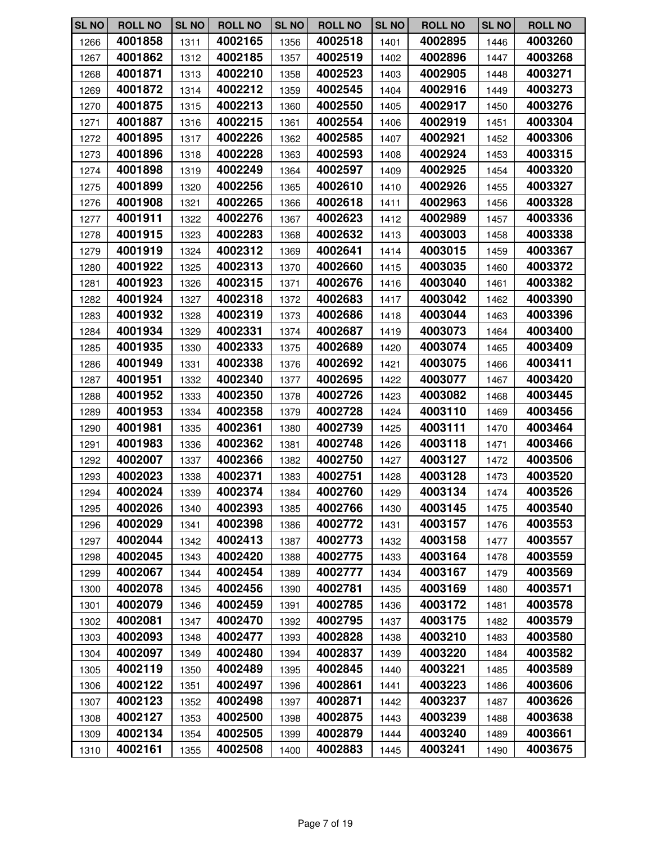| <b>SL NO</b> | <b>ROLL NO</b> | <b>SL NO</b> | <b>ROLL NO</b> | <b>SL NO</b> | <b>ROLL NO</b> | <b>SL NO</b> | <b>ROLL NO</b> | <b>SL NO</b> | <b>ROLL NO</b> |
|--------------|----------------|--------------|----------------|--------------|----------------|--------------|----------------|--------------|----------------|
| 1266         | 4001858        | 1311         | 4002165        | 1356         | 4002518        | 1401         | 4002895        | 1446         | 4003260        |
| 1267         | 4001862        | 1312         | 4002185        | 1357         | 4002519        | 1402         | 4002896        | 1447         | 4003268        |
| 1268         | 4001871        | 1313         | 4002210        | 1358         | 4002523        | 1403         | 4002905        | 1448         | 4003271        |
| 1269         | 4001872        | 1314         | 4002212        | 1359         | 4002545        | 1404         | 4002916        | 1449         | 4003273        |
| 1270         | 4001875        | 1315         | 4002213        | 1360         | 4002550        | 1405         | 4002917        | 1450         | 4003276        |
| 1271         | 4001887        | 1316         | 4002215        | 1361         | 4002554        | 1406         | 4002919        | 1451         | 4003304        |
| 1272         | 4001895        | 1317         | 4002226        | 1362         | 4002585        | 1407         | 4002921        | 1452         | 4003306        |
| 1273         | 4001896        | 1318         | 4002228        | 1363         | 4002593        | 1408         | 4002924        | 1453         | 4003315        |
| 1274         | 4001898        | 1319         | 4002249        | 1364         | 4002597        | 1409         | 4002925        | 1454         | 4003320        |
| 1275         | 4001899        | 1320         | 4002256        | 1365         | 4002610        | 1410         | 4002926        | 1455         | 4003327        |
| 1276         | 4001908        | 1321         | 4002265        | 1366         | 4002618        | 1411         | 4002963        | 1456         | 4003328        |
| 1277         | 4001911        | 1322         | 4002276        | 1367         | 4002623        | 1412         | 4002989        | 1457         | 4003336        |
| 1278         | 4001915        | 1323         | 4002283        | 1368         | 4002632        | 1413         | 4003003        | 1458         | 4003338        |
| 1279         | 4001919        | 1324         | 4002312        | 1369         | 4002641        | 1414         | 4003015        | 1459         | 4003367        |
| 1280         | 4001922        | 1325         | 4002313        | 1370         | 4002660        | 1415         | 4003035        | 1460         | 4003372        |
| 1281         | 4001923        | 1326         | 4002315        | 1371         | 4002676        | 1416         | 4003040        | 1461         | 4003382        |
| 1282         | 4001924        | 1327         | 4002318        | 1372         | 4002683        | 1417         | 4003042        | 1462         | 4003390        |
| 1283         | 4001932        | 1328         | 4002319        | 1373         | 4002686        | 1418         | 4003044        | 1463         | 4003396        |
| 1284         | 4001934        | 1329         | 4002331        | 1374         | 4002687        | 1419         | 4003073        | 1464         | 4003400        |
| 1285         | 4001935        | 1330         | 4002333        | 1375         | 4002689        | 1420         | 4003074        | 1465         | 4003409        |
| 1286         | 4001949        | 1331         | 4002338        | 1376         | 4002692        | 1421         | 4003075        | 1466         | 4003411        |
| 1287         | 4001951        | 1332         | 4002340        | 1377         | 4002695        | 1422         | 4003077        | 1467         | 4003420        |
| 1288         | 4001952        | 1333         | 4002350        | 1378         | 4002726        | 1423         | 4003082        | 1468         | 4003445        |
| 1289         | 4001953        | 1334         | 4002358        | 1379         | 4002728        | 1424         | 4003110        | 1469         | 4003456        |
| 1290         | 4001981        | 1335         | 4002361        | 1380         | 4002739        | 1425         | 4003111        | 1470         | 4003464        |
| 1291         | 4001983        | 1336         | 4002362        | 1381         | 4002748        | 1426         | 4003118        | 1471         | 4003466        |
| 1292         | 4002007        | 1337         | 4002366        | 1382         | 4002750        | 1427         | 4003127        | 1472         | 4003506        |
| 1293         | 4002023        | 1338         | 4002371        | 1383         | 4002751        | 1428         | 4003128        | 1473         | 4003520        |
| 1294         | 4002024        | 1339         | 4002374        | 1384         | 4002760        | 1429         | 4003134        | 1474         | 4003526        |
| 1295         | 4002026        | 1340         | 4002393        | 1385         | 4002766        | 1430         | 4003145        | 1475         | 4003540        |
| 1296         | 4002029        | 1341         | 4002398        | 1386         | 4002772        | 1431         | 4003157        | 1476         | 4003553        |
| 1297         | 4002044        | 1342         | 4002413        | 1387         | 4002773        | 1432         | 4003158        | 1477         | 4003557        |
| 1298         | 4002045        | 1343         | 4002420        | 1388         | 4002775        | 1433         | 4003164        | 1478         | 4003559        |
| 1299         | 4002067        | 1344         | 4002454        | 1389         | 4002777        | 1434         | 4003167        | 1479         | 4003569        |
| 1300         | 4002078        | 1345         | 4002456        | 1390         | 4002781        | 1435         | 4003169        | 1480         | 4003571        |
| 1301         | 4002079        | 1346         | 4002459        | 1391         | 4002785        | 1436         | 4003172        | 1481         | 4003578        |
| 1302         | 4002081        | 1347         | 4002470        | 1392         | 4002795        | 1437         | 4003175        | 1482         | 4003579        |
| 1303         | 4002093        | 1348         | 4002477        | 1393         | 4002828        | 1438         | 4003210        | 1483         | 4003580        |
| 1304         | 4002097        | 1349         | 4002480        | 1394         | 4002837        | 1439         | 4003220        | 1484         | 4003582        |
| 1305         | 4002119        | 1350         | 4002489        | 1395         | 4002845        | 1440         | 4003221        | 1485         | 4003589        |
| 1306         | 4002122        | 1351         | 4002497        | 1396         | 4002861        | 1441         | 4003223        | 1486         | 4003606        |
| 1307         | 4002123        | 1352         | 4002498        | 1397         | 4002871        | 1442         | 4003237        | 1487         | 4003626        |
| 1308         | 4002127        | 1353         | 4002500        | 1398         | 4002875        | 1443         | 4003239        | 1488         | 4003638        |
| 1309         | 4002134        | 1354         | 4002505        | 1399         | 4002879        | 1444         | 4003240        | 1489         | 4003661        |
| 1310         | 4002161        | 1355         | 4002508        | 1400         | 4002883        | 1445         | 4003241        | 1490         | 4003675        |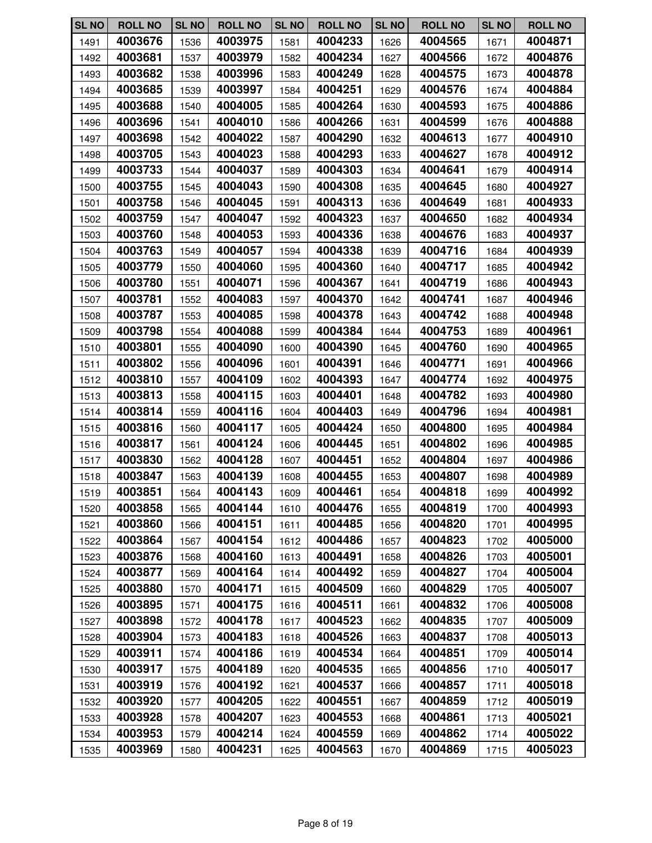| <b>SL NO</b> | <b>ROLL NO</b> | <b>SL NO</b> | <b>ROLL NO</b> | <b>SL NO</b> | <b>ROLL NO</b> | <b>SL NO</b> | <b>ROLL NO</b> | <b>SL NO</b> | <b>ROLL NO</b> |
|--------------|----------------|--------------|----------------|--------------|----------------|--------------|----------------|--------------|----------------|
| 1491         | 4003676        | 1536         | 4003975        | 1581         | 4004233        | 1626         | 4004565        | 1671         | 4004871        |
| 1492         | 4003681        | 1537         | 4003979        | 1582         | 4004234        | 1627         | 4004566        | 1672         | 4004876        |
| 1493         | 4003682        | 1538         | 4003996        | 1583         | 4004249        | 1628         | 4004575        | 1673         | 4004878        |
| 1494         | 4003685        | 1539         | 4003997        | 1584         | 4004251        | 1629         | 4004576        | 1674         | 4004884        |
| 1495         | 4003688        | 1540         | 4004005        | 1585         | 4004264        | 1630         | 4004593        | 1675         | 4004886        |
| 1496         | 4003696        | 1541         | 4004010        | 1586         | 4004266        | 1631         | 4004599        | 1676         | 4004888        |
| 1497         | 4003698        | 1542         | 4004022        | 1587         | 4004290        | 1632         | 4004613        | 1677         | 4004910        |
| 1498         | 4003705        | 1543         | 4004023        | 1588         | 4004293        | 1633         | 4004627        | 1678         | 4004912        |
| 1499         | 4003733        | 1544         | 4004037        | 1589         | 4004303        | 1634         | 4004641        | 1679         | 4004914        |
| 1500         | 4003755        | 1545         | 4004043        | 1590         | 4004308        | 1635         | 4004645        | 1680         | 4004927        |
| 1501         | 4003758        | 1546         | 4004045        | 1591         | 4004313        | 1636         | 4004649        | 1681         | 4004933        |
| 1502         | 4003759        | 1547         | 4004047        | 1592         | 4004323        | 1637         | 4004650        | 1682         | 4004934        |
| 1503         | 4003760        | 1548         | 4004053        | 1593         | 4004336        | 1638         | 4004676        | 1683         | 4004937        |
| 1504         | 4003763        | 1549         | 4004057        | 1594         | 4004338        | 1639         | 4004716        | 1684         | 4004939        |
| 1505         | 4003779        | 1550         | 4004060        | 1595         | 4004360        | 1640         | 4004717        | 1685         | 4004942        |
| 1506         | 4003780        | 1551         | 4004071        | 1596         | 4004367        | 1641         | 4004719        | 1686         | 4004943        |
| 1507         | 4003781        | 1552         | 4004083        | 1597         | 4004370        | 1642         | 4004741        | 1687         | 4004946        |
| 1508         | 4003787        | 1553         | 4004085        | 1598         | 4004378        | 1643         | 4004742        | 1688         | 4004948        |
| 1509         | 4003798        | 1554         | 4004088        | 1599         | 4004384        | 1644         | 4004753        | 1689         | 4004961        |
| 1510         | 4003801        | 1555         | 4004090        | 1600         | 4004390        | 1645         | 4004760        | 1690         | 4004965        |
| 1511         | 4003802        | 1556         | 4004096        | 1601         | 4004391        | 1646         | 4004771        | 1691         | 4004966        |
| 1512         | 4003810        | 1557         | 4004109        | 1602         | 4004393        | 1647         | 4004774        | 1692         | 4004975        |
| 1513         | 4003813        | 1558         | 4004115        | 1603         | 4004401        | 1648         | 4004782        | 1693         | 4004980        |
| 1514         | 4003814        | 1559         | 4004116        | 1604         | 4004403        | 1649         | 4004796        | 1694         | 4004981        |
| 1515         | 4003816        | 1560         | 4004117        | 1605         | 4004424        | 1650         | 4004800        | 1695         | 4004984        |
| 1516         | 4003817        | 1561         | 4004124        | 1606         | 4004445        | 1651         | 4004802        | 1696         | 4004985        |
| 1517         | 4003830        | 1562         | 4004128        | 1607         | 4004451        | 1652         | 4004804        | 1697         | 4004986        |
| 1518         | 4003847        | 1563         | 4004139        | 1608         | 4004455        | 1653         | 4004807        | 1698         | 4004989        |
| 1519         | 4003851        | 1564         | 4004143        | 1609         | 4004461        | 1654         | 4004818        | 1699         | 4004992        |
| 1520         | 4003858        | 1565         | 4004144        | 1610         | 4004476        | 1655         | 4004819        | 1700         | 4004993        |
| 1521         | 4003860        | 1566         | 4004151        | 1611         | 4004485        | 1656         | 4004820        | 1701         | 4004995        |
| 1522         | 4003864        | 1567         | 4004154        | 1612         | 4004486        | 1657         | 4004823        | 1702         | 4005000        |
| 1523         | 4003876        | 1568         | 4004160        | 1613         | 4004491        | 1658         | 4004826        | 1703         | 4005001        |
| 1524         | 4003877        | 1569         | 4004164        | 1614         | 4004492        | 1659         | 4004827        | 1704         | 4005004        |
| 1525         | 4003880        | 1570         | 4004171        | 1615         | 4004509        | 1660         | 4004829        | 1705         | 4005007        |
| 1526         | 4003895        | 1571         | 4004175        | 1616         | 4004511        | 1661         | 4004832        | 1706         | 4005008        |
| 1527         | 4003898        | 1572         | 4004178        | 1617         | 4004523        | 1662         | 4004835        | 1707         | 4005009        |
| 1528         | 4003904        | 1573         | 4004183        | 1618         | 4004526        | 1663         | 4004837        | 1708         | 4005013        |
| 1529         | 4003911        | 1574         | 4004186        | 1619         | 4004534        | 1664         | 4004851        | 1709         | 4005014        |
| 1530         | 4003917        | 1575         | 4004189        | 1620         | 4004535        | 1665         | 4004856        | 1710         | 4005017        |
| 1531         | 4003919        | 1576         | 4004192        | 1621         | 4004537        | 1666         | 4004857        | 1711         | 4005018        |
| 1532         | 4003920        | 1577         | 4004205        | 1622         | 4004551        | 1667         | 4004859        | 1712         | 4005019        |
| 1533         | 4003928        | 1578         | 4004207        | 1623         | 4004553        | 1668         | 4004861        | 1713         | 4005021        |
| 1534         | 4003953        | 1579         | 4004214        | 1624         | 4004559        | 1669         | 4004862        | 1714         | 4005022        |
| 1535         | 4003969        | 1580         | 4004231        | 1625         | 4004563        | 1670         | 4004869        | 1715         | 4005023        |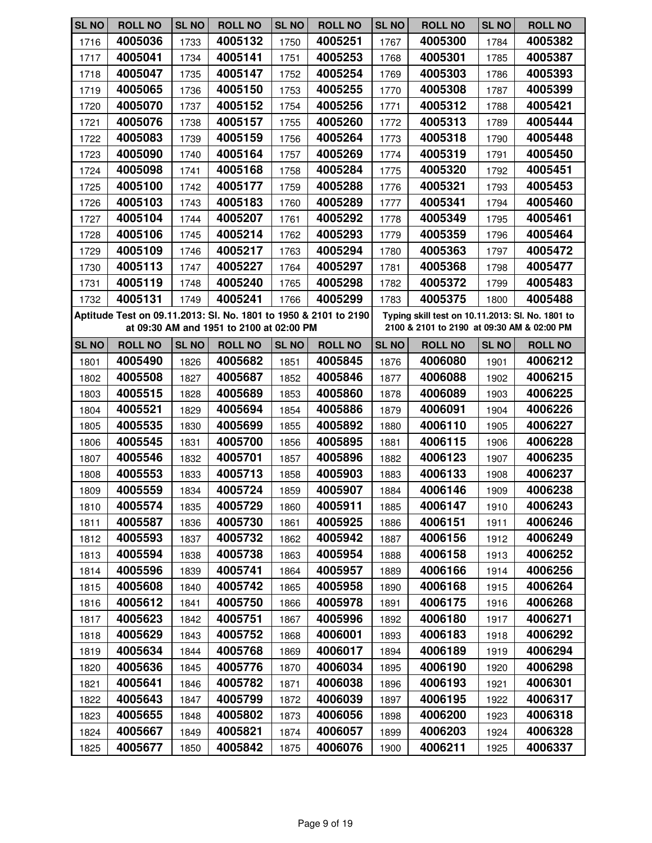| <b>SL NO</b> | <b>ROLL NO</b>                                                   | <b>SL NO</b> | <b>ROLL NO</b>                           | <b>SL NO</b> | <b>ROLL NO</b> | <b>SL NO</b> | <b>ROLL NO</b>                                                                                 | <b>SL NO</b> | <b>ROLL NO</b> |
|--------------|------------------------------------------------------------------|--------------|------------------------------------------|--------------|----------------|--------------|------------------------------------------------------------------------------------------------|--------------|----------------|
| 1716         | 4005036                                                          | 1733         | 4005132                                  | 1750         | 4005251        | 1767         | 4005300                                                                                        | 1784         | 4005382        |
| 1717         | 4005041                                                          | 1734         | 4005141                                  | 1751         | 4005253        | 1768         | 4005301                                                                                        | 1785         | 4005387        |
| 1718         | 4005047                                                          | 1735         | 4005147                                  | 1752         | 4005254        | 1769         | 4005303                                                                                        | 1786         | 4005393        |
| 1719         | 4005065                                                          | 1736         | 4005150                                  | 1753         | 4005255        | 1770         | 4005308                                                                                        | 1787         | 4005399        |
| 1720         | 4005070                                                          | 1737         | 4005152                                  | 1754         | 4005256        | 1771         | 4005312                                                                                        | 1788         | 4005421        |
| 1721         | 4005076                                                          | 1738         | 4005157                                  | 1755         | 4005260        | 1772         | 4005313                                                                                        | 1789         | 4005444        |
| 1722         | 4005083                                                          | 1739         | 4005159                                  | 1756         | 4005264        | 1773         | 4005318                                                                                        | 1790         | 4005448        |
| 1723         | 4005090                                                          | 1740         | 4005164                                  | 1757         | 4005269        | 1774         | 4005319                                                                                        | 1791         | 4005450        |
| 1724         | 4005098                                                          | 1741         | 4005168                                  | 1758         | 4005284        | 1775         | 4005320                                                                                        | 1792         | 4005451        |
| 1725         | 4005100                                                          | 1742         | 4005177                                  | 1759         | 4005288        | 1776         | 4005321                                                                                        | 1793         | 4005453        |
| 1726         | 4005103                                                          | 1743         | 4005183                                  | 1760         | 4005289        | 1777         | 4005341                                                                                        | 1794         | 4005460        |
| 1727         | 4005104                                                          | 1744         | 4005207                                  | 1761         | 4005292        | 1778         | 4005349                                                                                        | 1795         | 4005461        |
| 1728         | 4005106                                                          | 1745         | 4005214                                  | 1762         | 4005293        | 1779         | 4005359                                                                                        | 1796         | 4005464        |
| 1729         | 4005109                                                          | 1746         | 4005217                                  | 1763         | 4005294        | 1780         | 4005363                                                                                        | 1797         | 4005472        |
| 1730         | 4005113                                                          | 1747         | 4005227                                  | 1764         | 4005297        | 1781         | 4005368                                                                                        | 1798         | 4005477        |
| 1731         | 4005119                                                          | 1748         | 4005240                                  | 1765         | 4005298        | 1782         | 4005372                                                                                        | 1799         | 4005483        |
| 1732         | 4005131                                                          | 1749         | 4005241                                  | 1766         | 4005299        | 1783         | 4005375                                                                                        | 1800         | 4005488        |
|              | Aptitude Test on 09.11.2013: SI. No. 1801 to 1950 & 2101 to 2190 |              | at 09:30 AM and 1951 to 2100 at 02:00 PM |              |                |              | Typing skill test on 10.11.2013: Sl. No. 1801 to<br>2100 & 2101 to 2190 at 09:30 AM & 02:00 PM |              |                |
| <b>SL NO</b> | <b>ROLL NO</b>                                                   | <b>SL NO</b> | <b>ROLL NO</b>                           | <b>SL NO</b> | <b>ROLL NO</b> | <b>SL NO</b> | <b>ROLL NO</b>                                                                                 | <b>SL NO</b> | <b>ROLL NO</b> |
| 1801         | 4005490                                                          | 1826         | 4005682                                  | 1851         | 4005845        | 1876         | 4006080                                                                                        | 1901         | 4006212        |
| 1802         | 4005508                                                          | 1827         | 4005687                                  | 1852         | 4005846        | 1877         | 4006088                                                                                        | 1902         | 4006215        |
| 1803         | 4005515                                                          | 1828         | 4005689                                  | 1853         | 4005860        | 1878         | 4006089                                                                                        | 1903         | 4006225        |
| 1804         | 4005521                                                          | 1829         | 4005694                                  | 1854         | 4005886        | 1879         | 4006091                                                                                        | 1904         | 4006226        |
| 1805         | 4005535                                                          | 1830         | 4005699                                  | 1855         | 4005892        | 1880         | 4006110                                                                                        | 1905         | 4006227        |
| 1806         | 4005545                                                          | 1831         | 4005700                                  | 1856         | 4005895        | 1881         | 4006115                                                                                        | 1906         | 4006228        |
| 1807         | 4005546                                                          | 1832         | 4005701                                  | 1857         | 4005896        | 1882         | 4006123                                                                                        | 1907         | 4006235        |
| 1808         | 4005553                                                          | 1833         | 4005713                                  | 1858         | 4005903        | 1883         | 4006133                                                                                        | 1908         | 4006237        |
| 1809         | 4005559                                                          | 1834         | 4005724                                  | 1859         | 4005907        | 1884         | 4006146                                                                                        | 1909         | 4006238        |
| 1810         | 4005574                                                          | 1835         | 4005729                                  | 1860         | 4005911        | 1885         | 4006147                                                                                        | 1910         | 4006243        |
| 1811         | 4005587                                                          | 1836         | 4005730                                  | 1861         | 4005925        | 1886         | 4006151                                                                                        | 1911         | 4006246        |
| 1812         | 4005593                                                          | 1837         | 4005732                                  | 1862         | 4005942        | 1887         | 4006156                                                                                        | 1912         | 4006249        |
| 1813         | 4005594                                                          | 1838         | 4005738                                  | 1863         | 4005954        | 1888         | 4006158                                                                                        | 1913         | 4006252        |
| 1814         | 4005596                                                          | 1839         | 4005741                                  | 1864         | 4005957        | 1889         | 4006166                                                                                        | 1914         | 4006256        |
| 1815         | 4005608                                                          | 1840         | 4005742                                  | 1865         | 4005958        | 1890         | 4006168                                                                                        | 1915         | 4006264        |
| 1816         | 4005612                                                          | 1841         | 4005750                                  | 1866         | 4005978        | 1891         | 4006175                                                                                        | 1916         | 4006268        |
| 1817         | 4005623                                                          | 1842         | 4005751                                  | 1867         | 4005996        | 1892         | 4006180                                                                                        | 1917         | 4006271        |
| 1818         | 4005629                                                          | 1843         | 4005752                                  | 1868         | 4006001        | 1893         | 4006183                                                                                        | 1918         | 4006292        |
| 1819         | 4005634                                                          | 1844         | 4005768                                  | 1869         | 4006017        | 1894         | 4006189                                                                                        | 1919         | 4006294        |
| 1820         | 4005636                                                          | 1845         | 4005776                                  | 1870         | 4006034        | 1895         | 4006190                                                                                        | 1920         | 4006298        |
| 1821         | 4005641                                                          | 1846         | 4005782                                  | 1871         | 4006038        | 1896         | 4006193                                                                                        | 1921         | 4006301        |
| 1822         | 4005643                                                          | 1847         | 4005799                                  | 1872         | 4006039        | 1897         | 4006195                                                                                        | 1922         | 4006317        |
| 1823         | 4005655                                                          | 1848         | 4005802                                  | 1873         | 4006056        | 1898         | 4006200                                                                                        | 1923         | 4006318        |
| 1824         | 4005667                                                          | 1849         | 4005821                                  | 1874         | 4006057        | 1899         | 4006203                                                                                        | 1924         | 4006328        |
| 1825         | 4005677                                                          | 1850         | 4005842                                  | 1875         | 4006076        | 1900         | 4006211                                                                                        | 1925         | 4006337        |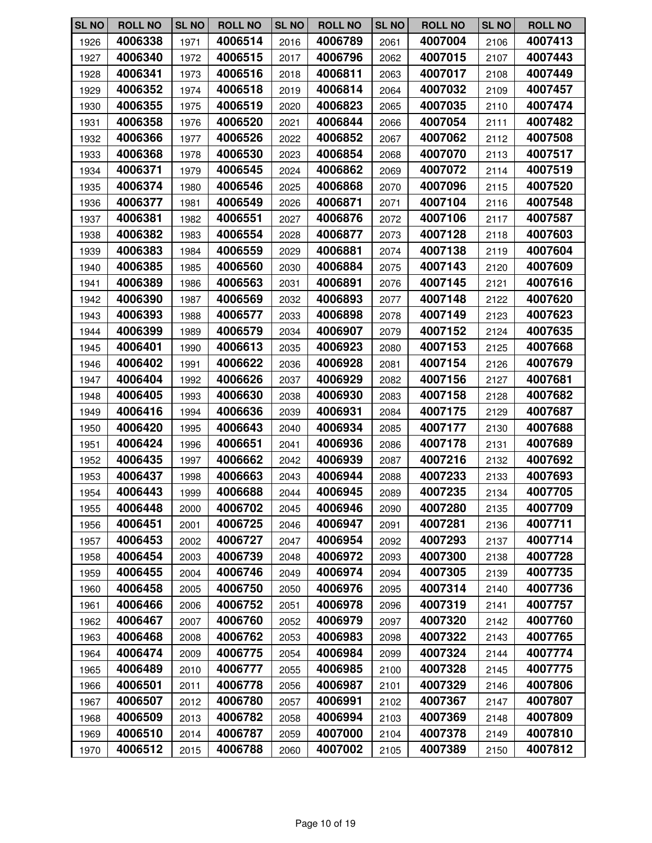| <b>SL NO</b> | <b>ROLL NO</b> | <b>SL NO</b> | <b>ROLL NO</b> | <b>SL NO</b> | <b>ROLL NO</b> | <b>SL NO</b> | <b>ROLL NO</b> | <b>SL NO</b> | <b>ROLL NO</b> |
|--------------|----------------|--------------|----------------|--------------|----------------|--------------|----------------|--------------|----------------|
| 1926         | 4006338        | 1971         | 4006514        | 2016         | 4006789        | 2061         | 4007004        | 2106         | 4007413        |
| 1927         | 4006340        | 1972         | 4006515        | 2017         | 4006796        | 2062         | 4007015        | 2107         | 4007443        |
| 1928         | 4006341        | 1973         | 4006516        | 2018         | 4006811        | 2063         | 4007017        | 2108         | 4007449        |
| 1929         | 4006352        | 1974         | 4006518        | 2019         | 4006814        | 2064         | 4007032        | 2109         | 4007457        |
| 1930         | 4006355        | 1975         | 4006519        | 2020         | 4006823        | 2065         | 4007035        | 2110         | 4007474        |
| 1931         | 4006358        | 1976         | 4006520        | 2021         | 4006844        | 2066         | 4007054        | 2111         | 4007482        |
| 1932         | 4006366        | 1977         | 4006526        | 2022         | 4006852        | 2067         | 4007062        | 2112         | 4007508        |
| 1933         | 4006368        | 1978         | 4006530        | 2023         | 4006854        | 2068         | 4007070        | 2113         | 4007517        |
| 1934         | 4006371        | 1979         | 4006545        | 2024         | 4006862        | 2069         | 4007072        | 2114         | 4007519        |
| 1935         | 4006374        | 1980         | 4006546        | 2025         | 4006868        | 2070         | 4007096        | 2115         | 4007520        |
| 1936         | 4006377        | 1981         | 4006549        | 2026         | 4006871        | 2071         | 4007104        | 2116         | 4007548        |
| 1937         | 4006381        | 1982         | 4006551        | 2027         | 4006876        | 2072         | 4007106        | 2117         | 4007587        |
| 1938         | 4006382        | 1983         | 4006554        | 2028         | 4006877        | 2073         | 4007128        | 2118         | 4007603        |
| 1939         | 4006383        | 1984         | 4006559        | 2029         | 4006881        | 2074         | 4007138        | 2119         | 4007604        |
| 1940         | 4006385        | 1985         | 4006560        | 2030         | 4006884        | 2075         | 4007143        | 2120         | 4007609        |
| 1941         | 4006389        | 1986         | 4006563        | 2031         | 4006891        | 2076         | 4007145        | 2121         | 4007616        |
| 1942         | 4006390        | 1987         | 4006569        | 2032         | 4006893        | 2077         | 4007148        | 2122         | 4007620        |
| 1943         | 4006393        | 1988         | 4006577        | 2033         | 4006898        | 2078         | 4007149        | 2123         | 4007623        |
| 1944         | 4006399        | 1989         | 4006579        | 2034         | 4006907        | 2079         | 4007152        | 2124         | 4007635        |
| 1945         | 4006401        | 1990         | 4006613        | 2035         | 4006923        | 2080         | 4007153        | 2125         | 4007668        |
| 1946         | 4006402        | 1991         | 4006622        | 2036         | 4006928        | 2081         | 4007154        | 2126         | 4007679        |
| 1947         | 4006404        | 1992         | 4006626        | 2037         | 4006929        | 2082         | 4007156        | 2127         | 4007681        |
| 1948         | 4006405        | 1993         | 4006630        | 2038         | 4006930        | 2083         | 4007158        | 2128         | 4007682        |
| 1949         | 4006416        | 1994         | 4006636        | 2039         | 4006931        | 2084         | 4007175        | 2129         | 4007687        |
| 1950         | 4006420        | 1995         | 4006643        | 2040         | 4006934        | 2085         | 4007177        | 2130         | 4007688        |
| 1951         | 4006424        | 1996         | 4006651        | 2041         | 4006936        | 2086         | 4007178        | 2131         | 4007689        |
| 1952         | 4006435        | 1997         | 4006662        | 2042         | 4006939        | 2087         | 4007216        | 2132         | 4007692        |
| 1953         | 4006437        | 1998         | 4006663        | 2043         | 4006944        | 2088         | 4007233        | 2133         | 4007693        |
| 1954         | 4006443        | 1999         | 4006688        | 2044         | 4006945        | 2089         | 4007235        | 2134         | 4007705        |
| 1955         | 4006448        | 2000         | 4006702        | 2045         | 4006946        | 2090         | 4007280        | 2135         | 4007709        |
| 1956         | 4006451        | 2001         | 4006725        | 2046         | 4006947        | 2091         | 4007281        | 2136         | 4007711        |
| 1957         | 4006453        | 2002         | 4006727        | 2047         | 4006954        | 2092         | 4007293        | 2137         | 4007714        |
| 1958         | 4006454        | 2003         | 4006739        | 2048         | 4006972        | 2093         | 4007300        | 2138         | 4007728        |
| 1959         | 4006455        | 2004         | 4006746        | 2049         | 4006974        | 2094         | 4007305        | 2139         | 4007735        |
| 1960         | 4006458        | 2005         | 4006750        | 2050         | 4006976        | 2095         | 4007314        | 2140         | 4007736        |
| 1961         | 4006466        | 2006         | 4006752        | 2051         | 4006978        | 2096         | 4007319        | 2141         | 4007757        |
| 1962         | 4006467        | 2007         | 4006760        | 2052         | 4006979        | 2097         | 4007320        | 2142         | 4007760        |
| 1963         | 4006468        | 2008         | 4006762        | 2053         | 4006983        | 2098         | 4007322        | 2143         | 4007765        |
| 1964         | 4006474        | 2009         | 4006775        | 2054         | 4006984        | 2099         | 4007324        | 2144         | 4007774        |
| 1965         | 4006489        | 2010         | 4006777        | 2055         | 4006985        | 2100         | 4007328        | 2145         | 4007775        |
| 1966         | 4006501        | 2011         | 4006778        | 2056         | 4006987        | 2101         | 4007329        | 2146         | 4007806        |
| 1967         | 4006507        | 2012         | 4006780        | 2057         | 4006991        | 2102         | 4007367        | 2147         | 4007807        |
| 1968         | 4006509        | 2013         | 4006782        | 2058         | 4006994        | 2103         | 4007369        | 2148         | 4007809        |
| 1969         | 4006510        | 2014         | 4006787        | 2059         | 4007000        | 2104         | 4007378        | 2149         | 4007810        |
| 1970         | 4006512        | 2015         | 4006788        | 2060         | 4007002        | 2105         | 4007389        | 2150         | 4007812        |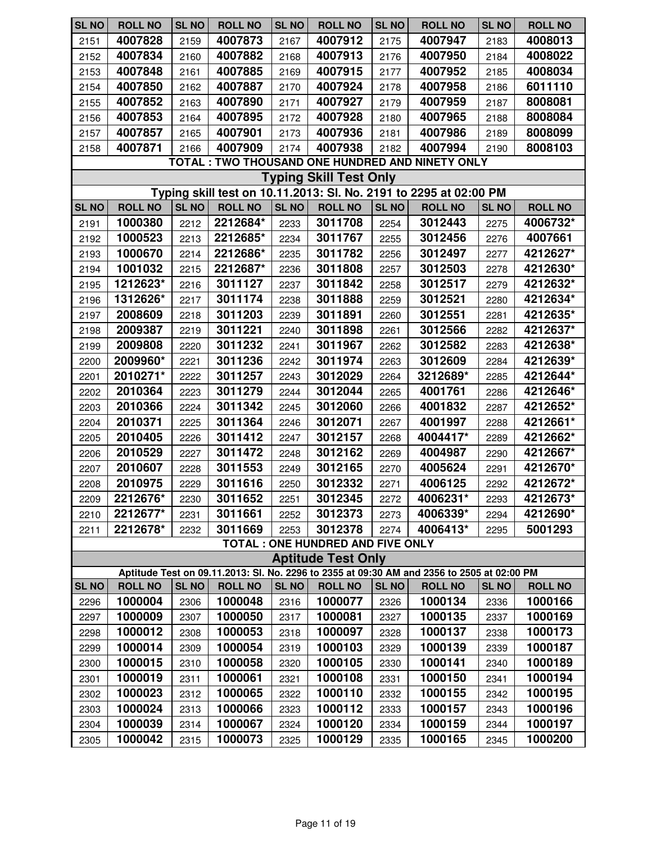| <b>SL NO</b>                                                      | <b>ROLL NO</b> | <b>SL NO</b> | <b>ROLL NO</b> | <b>SL NO</b> | <b>ROLL NO</b>                    | <b>SL NO</b> | <b>ROLL NO</b>                                                                             | <b>SL NO</b> | <b>ROLL NO</b> |  |  |
|-------------------------------------------------------------------|----------------|--------------|----------------|--------------|-----------------------------------|--------------|--------------------------------------------------------------------------------------------|--------------|----------------|--|--|
| 2151                                                              | 4007828        | 2159         | 4007873        | 2167         | 4007912                           | 2175         | 4007947                                                                                    | 2183         | 4008013        |  |  |
| 2152                                                              | 4007834        | 2160         | 4007882        | 2168         | 4007913                           | 2176         | 4007950                                                                                    | 2184         | 4008022        |  |  |
| 2153                                                              | 4007848        | 2161         | 4007885        | 2169         | 4007915                           | 2177         | 4007952                                                                                    | 2185         | 4008034        |  |  |
| 2154                                                              | 4007850        | 2162         | 4007887        | 2170         | 4007924                           | 2178         | 4007958                                                                                    | 2186         | 6011110        |  |  |
| 2155                                                              | 4007852        | 2163         | 4007890        | 2171         | 4007927                           | 2179         | 4007959                                                                                    | 2187         | 8008081        |  |  |
| 2156                                                              | 4007853        | 2164         | 4007895        | 2172         | 4007928                           | 2180         | 4007965                                                                                    | 2188         | 8008084        |  |  |
| 2157                                                              | 4007857        | 2165         | 4007901        | 2173         | 4007936                           | 2181         | 4007986                                                                                    | 2189         | 8008099        |  |  |
| 2158                                                              | 4007871        | 2166         | 4007909        | 2174         | 4007938                           | 2182         | 4007994                                                                                    | 2190         | 8008103        |  |  |
|                                                                   |                |              |                |              |                                   |              | TOTAL : TWO THOUSAND ONE HUNDRED AND NINETY ONLY                                           |              |                |  |  |
|                                                                   |                |              |                |              | <b>Typing Skill Test Only</b>     |              |                                                                                            |              |                |  |  |
| Typing skill test on 10.11.2013: SI. No. 2191 to 2295 at 02:00 PM |                |              |                |              |                                   |              |                                                                                            |              |                |  |  |
| <b>SL NO</b>                                                      | <b>ROLL NO</b> | <b>SL NO</b> | <b>ROLL NO</b> | <b>SL NO</b> | <b>ROLL NO</b>                    | <b>SL NO</b> | <b>ROLL NO</b>                                                                             | <b>SL NO</b> | <b>ROLL NO</b> |  |  |
| 2191                                                              | 1000380        | 2212         | 2212684*       | 2233         | 3011708                           | 2254         | 3012443                                                                                    | 2275         | 4006732*       |  |  |
| 2192                                                              | 1000523        | 2213         | 2212685*       | 2234         | 3011767                           | 2255         | 3012456                                                                                    | 2276         | 4007661        |  |  |
| 2193                                                              | 1000670        | 2214         | 2212686*       | 2235         | 3011782                           | 2256         | 3012497                                                                                    | 2277         | 4212627*       |  |  |
| 2194                                                              | 1001032        | 2215         | 2212687*       | 2236         | 3011808                           | 2257         | 3012503                                                                                    | 2278         | 4212630*       |  |  |
| 2195                                                              | 1212623*       | 2216         | 3011127        | 2237         | 3011842                           | 2258         | 3012517                                                                                    | 2279         | 4212632*       |  |  |
| 2196                                                              | 1312626*       | 2217         | 3011174        | 2238         | 3011888                           | 2259         | 3012521                                                                                    | 2280         | 4212634*       |  |  |
| 2197                                                              | 2008609        | 2218         | 3011203        | 2239         | 3011891                           | 2260         | 3012551                                                                                    | 2281         | 4212635*       |  |  |
| 2198                                                              | 2009387        | 2219         | 3011221        | 2240         | 3011898                           | 2261         | 3012566                                                                                    | 2282         | 4212637*       |  |  |
| 2199                                                              | 2009808        | 2220         | 3011232        | 2241         | 3011967                           | 2262         | 3012582                                                                                    | 2283         | 4212638*       |  |  |
| 2200                                                              | 2009960*       | 2221         | 3011236        | 2242         | 3011974                           | 2263         | 3012609                                                                                    | 2284         | 4212639*       |  |  |
| 2201                                                              | 2010271*       | 2222         | 3011257        | 2243         | 3012029                           | 2264         | 3212689*                                                                                   | 2285         | 4212644*       |  |  |
| 2202                                                              | 2010364        | 2223         | 3011279        | 2244         | 3012044                           | 2265         | 4001761                                                                                    | 2286         | 4212646*       |  |  |
| 2203                                                              | 2010366        | 2224         | 3011342        | 2245         | 3012060                           | 2266         | 4001832                                                                                    | 2287         | 4212652*       |  |  |
| 2204                                                              | 2010371        | 2225         | 3011364        | 2246         | 3012071                           | 2267         | 4001997                                                                                    | 2288         | 4212661*       |  |  |
| 2205                                                              | 2010405        | 2226         | 3011412        | 2247         | 3012157                           | 2268         | 4004417*                                                                                   | 2289         | 4212662*       |  |  |
| 2206                                                              | 2010529        | 2227         | 3011472        | 2248         | 3012162                           | 2269         | 4004987                                                                                    | 2290         | 4212667*       |  |  |
| 2207                                                              | 2010607        | 2228         | 3011553        | 2249         | 3012165                           | 2270         | 4005624                                                                                    | 2291         | 4212670*       |  |  |
| 2208                                                              | 2010975        | 2229         | 3011616        | 2250         | 3012332                           | 2271         | 4006125                                                                                    | 2292         | 4212672*       |  |  |
| 2209                                                              | 2212676*       | 2230         | 3011652        | 2251         | 3012345                           | 2272         | 4006231*                                                                                   | 2293         | 4212673*       |  |  |
| 2210                                                              | 2212677*       | 2231         | 3011661        | 2252         | 3012373                           | 2273         | 4006339*                                                                                   | 2294         | 4212690*       |  |  |
| 2211                                                              | 2212678*       | 2232         | 3011669        | 2253         | 3012378                           | 2274         | 4006413*                                                                                   | 2295         | 5001293        |  |  |
|                                                                   |                |              |                |              | TOTAL : ONE HUNDRED AND FIVE ONLY |              |                                                                                            |              |                |  |  |
|                                                                   |                |              |                |              | <b>Aptitude Test Only</b>         |              |                                                                                            |              |                |  |  |
|                                                                   |                |              |                |              |                                   |              | Aptitude Test on 09.11.2013: Sl. No. 2296 to 2355 at 09:30 AM and 2356 to 2505 at 02:00 PM |              |                |  |  |
| <b>SL NO</b>                                                      | <b>ROLL NO</b> | <b>SL NO</b> | <b>ROLL NO</b> | <b>SL NO</b> | <b>ROLL NO</b>                    | <b>SL NO</b> | <b>ROLL NO</b>                                                                             | <b>SL NO</b> | <b>ROLL NO</b> |  |  |
| 2296                                                              | 1000004        | 2306         | 1000048        | 2316         | 1000077                           | 2326         | 1000134                                                                                    | 2336         | 1000166        |  |  |
| 2297                                                              | 1000009        | 2307         | 1000050        | 2317         | 1000081                           | 2327         | 1000135                                                                                    | 2337         | 1000169        |  |  |
| 2298                                                              | 1000012        | 2308         | 1000053        | 2318         | 1000097                           | 2328         | 1000137                                                                                    | 2338         | 1000173        |  |  |
| 2299                                                              | 1000014        | 2309         | 1000054        | 2319         | 1000103                           | 2329         | 1000139                                                                                    | 2339         | 1000187        |  |  |
| 2300                                                              | 1000015        | 2310         | 1000058        | 2320         | 1000105                           | 2330         | 1000141                                                                                    | 2340         | 1000189        |  |  |
| 2301                                                              | 1000019        | 2311         | 1000061        | 2321         | 1000108                           | 2331         | 1000150                                                                                    | 2341         | 1000194        |  |  |
| 2302                                                              | 1000023        | 2312         | 1000065        | 2322         | 1000110                           | 2332         | 1000155                                                                                    | 2342         | 1000195        |  |  |
| 2303                                                              | 1000024        | 2313         | 1000066        | 2323         | 1000112                           | 2333         | 1000157                                                                                    | 2343         | 1000196        |  |  |
| 2304                                                              | 1000039        | 2314         | 1000067        | 2324         | 1000120                           | 2334         | 1000159                                                                                    | 2344         | 1000197        |  |  |
| 2305                                                              | 1000042        | 2315         | 1000073        | 2325         | 1000129                           | 2335         | 1000165                                                                                    | 2345         | 1000200        |  |  |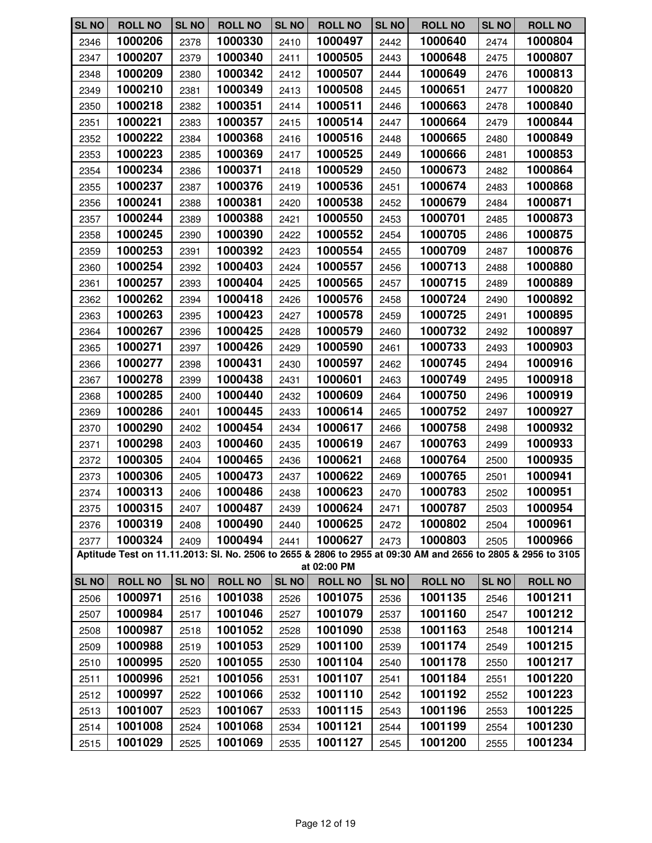| <b>SL NO</b> | <b>ROLL NO</b> | <b>SL NO</b> | <b>ROLL NO</b> | <b>SL NO</b> | <b>ROLL NO</b> | <b>SL NO</b> | <b>ROLL NO</b>                                                                                               | <b>SL NO</b> | <b>ROLL NO</b> |
|--------------|----------------|--------------|----------------|--------------|----------------|--------------|--------------------------------------------------------------------------------------------------------------|--------------|----------------|
| 2346         | 1000206        | 2378         | 1000330        | 2410         | 1000497        | 2442         | 1000640                                                                                                      | 2474         | 1000804        |
| 2347         | 1000207        | 2379         | 1000340        | 2411         | 1000505        | 2443         | 1000648                                                                                                      | 2475         | 1000807        |
| 2348         | 1000209        | 2380         | 1000342        | 2412         | 1000507        | 2444         | 1000649                                                                                                      | 2476         | 1000813        |
| 2349         | 1000210        | 2381         | 1000349        | 2413         | 1000508        | 2445         | 1000651                                                                                                      | 2477         | 1000820        |
| 2350         | 1000218        | 2382         | 1000351        | 2414         | 1000511        | 2446         | 1000663                                                                                                      | 2478         | 1000840        |
| 2351         | 1000221        | 2383         | 1000357        | 2415         | 1000514        | 2447         | 1000664                                                                                                      | 2479         | 1000844        |
| 2352         | 1000222        | 2384         | 1000368        | 2416         | 1000516        | 2448         | 1000665                                                                                                      | 2480         | 1000849        |
| 2353         | 1000223        | 2385         | 1000369        | 2417         | 1000525        | 2449         | 1000666                                                                                                      | 2481         | 1000853        |
| 2354         | 1000234        | 2386         | 1000371        | 2418         | 1000529        | 2450         | 1000673                                                                                                      | 2482         | 1000864        |
| 2355         | 1000237        | 2387         | 1000376        | 2419         | 1000536        | 2451         | 1000674                                                                                                      | 2483         | 1000868        |
| 2356         | 1000241        | 2388         | 1000381        | 2420         | 1000538        | 2452         | 1000679                                                                                                      | 2484         | 1000871        |
| 2357         | 1000244        | 2389         | 1000388        | 2421         | 1000550        | 2453         | 1000701                                                                                                      | 2485         | 1000873        |
| 2358         | 1000245        | 2390         | 1000390        | 2422         | 1000552        | 2454         | 1000705                                                                                                      | 2486         | 1000875        |
| 2359         | 1000253        | 2391         | 1000392        | 2423         | 1000554        | 2455         | 1000709                                                                                                      | 2487         | 1000876        |
| 2360         | 1000254        | 2392         | 1000403        | 2424         | 1000557        | 2456         | 1000713                                                                                                      | 2488         | 1000880        |
| 2361         | 1000257        | 2393         | 1000404        | 2425         | 1000565        | 2457         | 1000715                                                                                                      | 2489         | 1000889        |
| 2362         | 1000262        | 2394         | 1000418        | 2426         | 1000576        | 2458         | 1000724                                                                                                      | 2490         | 1000892        |
| 2363         | 1000263        | 2395         | 1000423        | 2427         | 1000578        | 2459         | 1000725                                                                                                      | 2491         | 1000895        |
| 2364         | 1000267        | 2396         | 1000425        | 2428         | 1000579        | 2460         | 1000732                                                                                                      | 2492         | 1000897        |
| 2365         | 1000271        | 2397         | 1000426        | 2429         | 1000590        | 2461         | 1000733                                                                                                      | 2493         | 1000903        |
| 2366         | 1000277        | 2398         | 1000431        | 2430         | 1000597        | 2462         | 1000745                                                                                                      | 2494         | 1000916        |
| 2367         | 1000278        | 2399         | 1000438        | 2431         | 1000601        | 2463         | 1000749                                                                                                      | 2495         | 1000918        |
| 2368         | 1000285        | 2400         | 1000440        | 2432         | 1000609        | 2464         | 1000750                                                                                                      | 2496         | 1000919        |
| 2369         | 1000286        | 2401         | 1000445        | 2433         | 1000614        | 2465         | 1000752                                                                                                      | 2497         | 1000927        |
| 2370         | 1000290        | 2402         | 1000454        | 2434         | 1000617        | 2466         | 1000758                                                                                                      | 2498         | 1000932        |
| 2371         | 1000298        | 2403         | 1000460        | 2435         | 1000619        | 2467         | 1000763                                                                                                      | 2499         | 1000933        |
| 2372         | 1000305        | 2404         | 1000465        | 2436         | 1000621        | 2468         | 1000764                                                                                                      | 2500         | 1000935        |
| 2373         | 1000306        | 2405         | 1000473        | 2437         | 1000622        | 2469         | 1000765                                                                                                      | 2501         | 1000941        |
| 2374         | 1000313        | 2406         | 1000486        | 2438         | 1000623        | 2470         | 1000783                                                                                                      | 2502         | 1000951        |
| 2375         | 1000315        | 2407         | 1000487        | 2439         | 1000624        | 2471         | 1000787                                                                                                      | 2503         | 1000954        |
| 2376         | 1000319        | 2408         | 1000490        | 2440         | 1000625        | 2472         | 1000802                                                                                                      | 2504         | 1000961        |
| 2377         | 1000324        | 2409         | 1000494        | 2441         | 1000627        | 2473         | 1000803                                                                                                      | 2505         | 1000966        |
|              |                |              |                |              | at 02:00 PM    |              | Aptitude Test on 11.11.2013: Sl. No. 2506 to 2655 & 2806 to 2955 at 09:30 AM and 2656 to 2805 & 2956 to 3105 |              |                |
| <b>SL NO</b> | <b>ROLL NO</b> | <b>SL NO</b> | <b>ROLL NO</b> | <b>SL NO</b> | <b>ROLL NO</b> | <b>SL NO</b> | <b>ROLL NO</b>                                                                                               | <b>SL NO</b> | <b>ROLL NO</b> |
| 2506         | 1000971        | 2516         | 1001038        | 2526         | 1001075        | 2536         | 1001135                                                                                                      | 2546         | 1001211        |
| 2507         | 1000984        | 2517         | 1001046        | 2527         | 1001079        | 2537         | 1001160                                                                                                      | 2547         | 1001212        |
| 2508         | 1000987        | 2518         | 1001052        | 2528         | 1001090        | 2538         | 1001163                                                                                                      | 2548         | 1001214        |
| 2509         | 1000988        | 2519         | 1001053        | 2529         | 1001100        | 2539         | 1001174                                                                                                      | 2549         | 1001215        |
| 2510         | 1000995        | 2520         | 1001055        | 2530         | 1001104        | 2540         | 1001178                                                                                                      | 2550         | 1001217        |
| 2511         | 1000996        | 2521         | 1001056        | 2531         | 1001107        | 2541         | 1001184                                                                                                      | 2551         | 1001220        |
| 2512         | 1000997        | 2522         | 1001066        | 2532         | 1001110        | 2542         | 1001192                                                                                                      | 2552         | 1001223        |
| 2513         | 1001007        | 2523         | 1001067        | 2533         | 1001115        | 2543         | 1001196                                                                                                      | 2553         | 1001225        |
| 2514         | 1001008        | 2524         | 1001068        | 2534         | 1001121        | 2544         | 1001199                                                                                                      | 2554         | 1001230        |
| 2515         | 1001029        | 2525         | 1001069        | 2535         | 1001127        | 2545         | 1001200                                                                                                      | 2555         | 1001234        |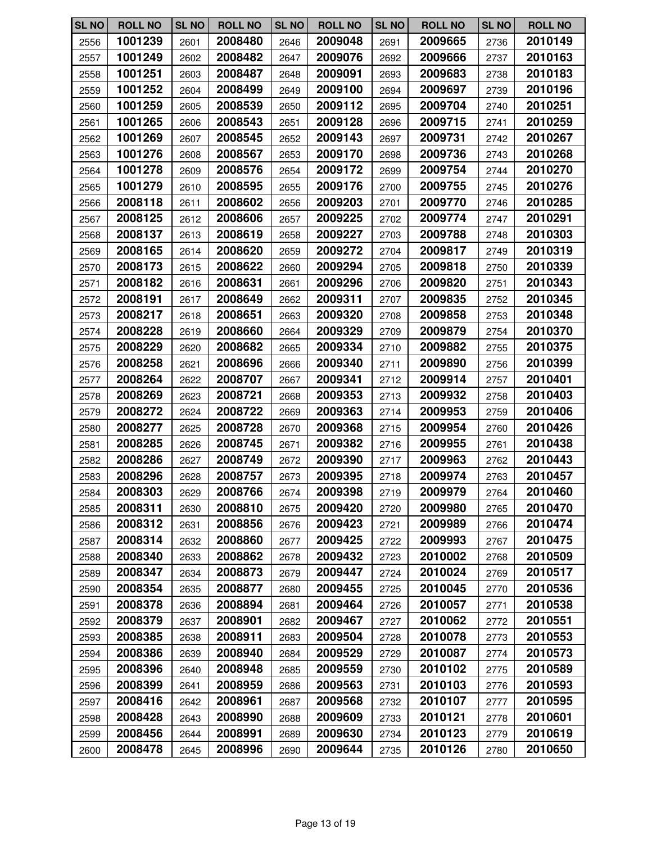| <b>SL NO</b> | <b>ROLL NO</b> | <b>SL NO</b> | <b>ROLL NO</b> | <b>SL NO</b> | <b>ROLL NO</b> | <b>SL NO</b> | <b>ROLL NO</b> | <b>SL NO</b> | <b>ROLL NO</b> |
|--------------|----------------|--------------|----------------|--------------|----------------|--------------|----------------|--------------|----------------|
| 2556         | 1001239        | 2601         | 2008480        | 2646         | 2009048        | 2691         | 2009665        | 2736         | 2010149        |
| 2557         | 1001249        | 2602         | 2008482        | 2647         | 2009076        | 2692         | 2009666        | 2737         | 2010163        |
| 2558         | 1001251        | 2603         | 2008487        | 2648         | 2009091        | 2693         | 2009683        | 2738         | 2010183        |
| 2559         | 1001252        | 2604         | 2008499        | 2649         | 2009100        | 2694         | 2009697        | 2739         | 2010196        |
| 2560         | 1001259        | 2605         | 2008539        | 2650         | 2009112        | 2695         | 2009704        | 2740         | 2010251        |
| 2561         | 1001265        | 2606         | 2008543        | 2651         | 2009128        | 2696         | 2009715        | 2741         | 2010259        |
| 2562         | 1001269        | 2607         | 2008545        | 2652         | 2009143        | 2697         | 2009731        | 2742         | 2010267        |
| 2563         | 1001276        | 2608         | 2008567        | 2653         | 2009170        | 2698         | 2009736        | 2743         | 2010268        |
| 2564         | 1001278        | 2609         | 2008576        | 2654         | 2009172        | 2699         | 2009754        | 2744         | 2010270        |
| 2565         | 1001279        | 2610         | 2008595        | 2655         | 2009176        | 2700         | 2009755        | 2745         | 2010276        |
| 2566         | 2008118        | 2611         | 2008602        | 2656         | 2009203        | 2701         | 2009770        | 2746         | 2010285        |
| 2567         | 2008125        | 2612         | 2008606        | 2657         | 2009225        | 2702         | 2009774        | 2747         | 2010291        |
| 2568         | 2008137        | 2613         | 2008619        | 2658         | 2009227        | 2703         | 2009788        | 2748         | 2010303        |
| 2569         | 2008165        | 2614         | 2008620        | 2659         | 2009272        | 2704         | 2009817        | 2749         | 2010319        |
| 2570         | 2008173        | 2615         | 2008622        | 2660         | 2009294        | 2705         | 2009818        | 2750         | 2010339        |
| 2571         | 2008182        | 2616         | 2008631        | 2661         | 2009296        | 2706         | 2009820        | 2751         | 2010343        |
| 2572         | 2008191        | 2617         | 2008649        | 2662         | 2009311        | 2707         | 2009835        | 2752         | 2010345        |
| 2573         | 2008217        | 2618         | 2008651        | 2663         | 2009320        | 2708         | 2009858        | 2753         | 2010348        |
| 2574         | 2008228        | 2619         | 2008660        | 2664         | 2009329        | 2709         | 2009879        | 2754         | 2010370        |
| 2575         | 2008229        | 2620         | 2008682        | 2665         | 2009334        | 2710         | 2009882        | 2755         | 2010375        |
| 2576         | 2008258        | 2621         | 2008696        | 2666         | 2009340        | 2711         | 2009890        | 2756         | 2010399        |
| 2577         | 2008264        | 2622         | 2008707        | 2667         | 2009341        | 2712         | 2009914        | 2757         | 2010401        |
| 2578         | 2008269        | 2623         | 2008721        | 2668         | 2009353        | 2713         | 2009932        | 2758         | 2010403        |
| 2579         | 2008272        | 2624         | 2008722        | 2669         | 2009363        | 2714         | 2009953        | 2759         | 2010406        |
| 2580         | 2008277        | 2625         | 2008728        | 2670         | 2009368        | 2715         | 2009954        | 2760         | 2010426        |
| 2581         | 2008285        | 2626         | 2008745        | 2671         | 2009382        | 2716         | 2009955        | 2761         | 2010438        |
| 2582         | 2008286        | 2627         | 2008749        | 2672         | 2009390        | 2717         | 2009963        | 2762         | 2010443        |
| 2583         | 2008296        | 2628         | 2008757        | 2673         | 2009395        | 2718         | 2009974        | 2763         | 2010457        |
| 2584         | 2008303        | 2629         | 2008766        | 2674         | 2009398        | 2719         | 2009979        | 2764         | 2010460        |
| 2585         | 2008311        | 2630         | 2008810        | 2675         | 2009420        | 2720         | 2009980        | 2765         | 2010470        |
| 2586         | 2008312        | 2631         | 2008856        | 2676         | 2009423        | 2721         | 2009989        | 2766         | 2010474        |
| 2587         | 2008314        | 2632         | 2008860        | 2677         | 2009425        | 2722         | 2009993        | 2767         | 2010475        |
| 2588         | 2008340        | 2633         | 2008862        | 2678         | 2009432        | 2723         | 2010002        | 2768         | 2010509        |
| 2589         | 2008347        | 2634         | 2008873        | 2679         | 2009447        | 2724         | 2010024        | 2769         | 2010517        |
| 2590         | 2008354        | 2635         | 2008877        | 2680         | 2009455        | 2725         | 2010045        | 2770         | 2010536        |
| 2591         | 2008378        | 2636         | 2008894        | 2681         | 2009464        | 2726         | 2010057        | 2771         | 2010538        |
| 2592         | 2008379        | 2637         | 2008901        | 2682         | 2009467        | 2727         | 2010062        | 2772         | 2010551        |
| 2593         | 2008385        | 2638         | 2008911        | 2683         | 2009504        | 2728         | 2010078        | 2773         | 2010553        |
| 2594         | 2008386        | 2639         | 2008940        | 2684         | 2009529        | 2729         | 2010087        | 2774         | 2010573        |
| 2595         | 2008396        | 2640         | 2008948        | 2685         | 2009559        | 2730         | 2010102        | 2775         | 2010589        |
| 2596         | 2008399        | 2641         | 2008959        | 2686         | 2009563        | 2731         | 2010103        | 2776         | 2010593        |
| 2597         | 2008416        | 2642         | 2008961        | 2687         | 2009568        | 2732         | 2010107        | 2777         | 2010595        |
| 2598         | 2008428        | 2643         | 2008990        | 2688         | 2009609        | 2733         | 2010121        | 2778         | 2010601        |
| 2599         | 2008456        | 2644         | 2008991        | 2689         | 2009630        | 2734         | 2010123        | 2779         | 2010619        |
| 2600         | 2008478        | 2645         | 2008996        | 2690         | 2009644        | 2735         | 2010126        | 2780         | 2010650        |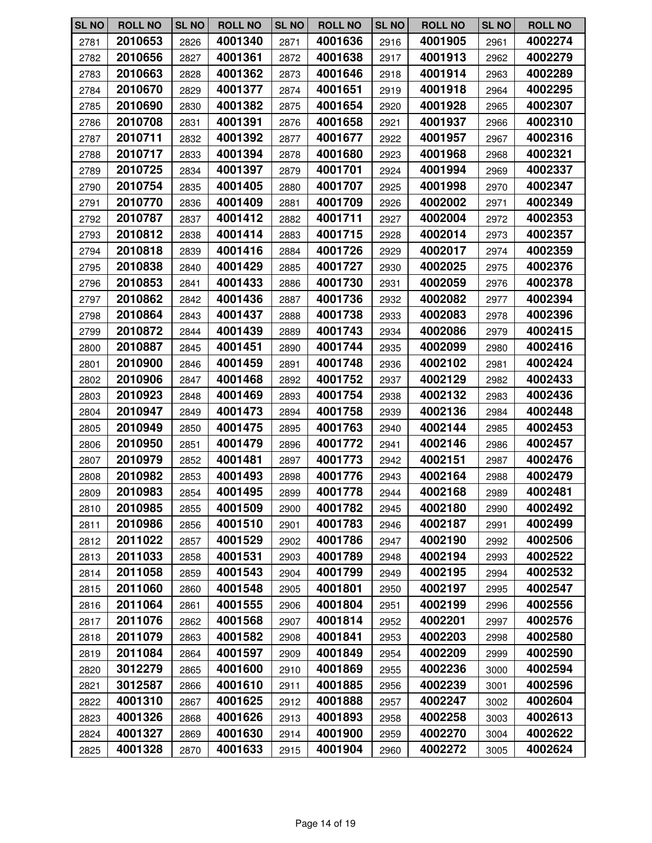| <b>SL NO</b> | <b>ROLL NO</b> | <b>SL NO</b> | <b>ROLL NO</b> | <b>SL NO</b> | <b>ROLL NO</b> | <b>SL NO</b> | <b>ROLL NO</b> | <b>SL NO</b> | <b>ROLL NO</b> |
|--------------|----------------|--------------|----------------|--------------|----------------|--------------|----------------|--------------|----------------|
| 2781         | 2010653        | 2826         | 4001340        | 2871         | 4001636        | 2916         | 4001905        | 2961         | 4002274        |
| 2782         | 2010656        | 2827         | 4001361        | 2872         | 4001638        | 2917         | 4001913        | 2962         | 4002279        |
| 2783         | 2010663        | 2828         | 4001362        | 2873         | 4001646        | 2918         | 4001914        | 2963         | 4002289        |
| 2784         | 2010670        | 2829         | 4001377        | 2874         | 4001651        | 2919         | 4001918        | 2964         | 4002295        |
| 2785         | 2010690        | 2830         | 4001382        | 2875         | 4001654        | 2920         | 4001928        | 2965         | 4002307        |
| 2786         | 2010708        | 2831         | 4001391        | 2876         | 4001658        | 2921         | 4001937        | 2966         | 4002310        |
| 2787         | 2010711        | 2832         | 4001392        | 2877         | 4001677        | 2922         | 4001957        | 2967         | 4002316        |
| 2788         | 2010717        | 2833         | 4001394        | 2878         | 4001680        | 2923         | 4001968        | 2968         | 4002321        |
| 2789         | 2010725        | 2834         | 4001397        | 2879         | 4001701        | 2924         | 4001994        | 2969         | 4002337        |
| 2790         | 2010754        | 2835         | 4001405        | 2880         | 4001707        | 2925         | 4001998        | 2970         | 4002347        |
| 2791         | 2010770        | 2836         | 4001409        | 2881         | 4001709        | 2926         | 4002002        | 2971         | 4002349        |
| 2792         | 2010787        | 2837         | 4001412        | 2882         | 4001711        | 2927         | 4002004        | 2972         | 4002353        |
| 2793         | 2010812        | 2838         | 4001414        | 2883         | 4001715        | 2928         | 4002014        | 2973         | 4002357        |
| 2794         | 2010818        | 2839         | 4001416        | 2884         | 4001726        | 2929         | 4002017        | 2974         | 4002359        |
| 2795         | 2010838        | 2840         | 4001429        | 2885         | 4001727        | 2930         | 4002025        | 2975         | 4002376        |
| 2796         | 2010853        | 2841         | 4001433        | 2886         | 4001730        | 2931         | 4002059        | 2976         | 4002378        |
| 2797         | 2010862        | 2842         | 4001436        | 2887         | 4001736        | 2932         | 4002082        | 2977         | 4002394        |
| 2798         | 2010864        | 2843         | 4001437        | 2888         | 4001738        | 2933         | 4002083        | 2978         | 4002396        |
| 2799         | 2010872        | 2844         | 4001439        | 2889         | 4001743        | 2934         | 4002086        | 2979         | 4002415        |
| 2800         | 2010887        | 2845         | 4001451        | 2890         | 4001744        | 2935         | 4002099        | 2980         | 4002416        |
| 2801         | 2010900        | 2846         | 4001459        | 2891         | 4001748        | 2936         | 4002102        | 2981         | 4002424        |
| 2802         | 2010906        | 2847         | 4001468        | 2892         | 4001752        | 2937         | 4002129        | 2982         | 4002433        |
| 2803         | 2010923        | 2848         | 4001469        | 2893         | 4001754        | 2938         | 4002132        | 2983         | 4002436        |
| 2804         | 2010947        | 2849         | 4001473        | 2894         | 4001758        | 2939         | 4002136        | 2984         | 4002448        |
| 2805         | 2010949        | 2850         | 4001475        | 2895         | 4001763        | 2940         | 4002144        | 2985         | 4002453        |
| 2806         | 2010950        | 2851         | 4001479        | 2896         | 4001772        | 2941         | 4002146        | 2986         | 4002457        |
| 2807         | 2010979        | 2852         | 4001481        | 2897         | 4001773        | 2942         | 4002151        | 2987         | 4002476        |
| 2808         | 2010982        | 2853         | 4001493        | 2898         | 4001776        | 2943         | 4002164        | 2988         | 4002479        |
| 2809         | 2010983        | 2854         | 4001495        | 2899         | 4001778        | 2944         | 4002168        | 2989         | 4002481        |
| 2810         | 2010985        | 2855         | 4001509        | 2900         | 4001782        | 2945         | 4002180        | 2990         | 4002492        |
| 2811         | 2010986        | 2856         | 4001510        | 2901         | 4001783        | 2946         | 4002187        | 2991         | 4002499        |
| 2812         | 2011022        | 2857         | 4001529        | 2902         | 4001786        | 2947         | 4002190        | 2992         | 4002506        |
| 2813         | 2011033        | 2858         | 4001531        | 2903         | 4001789        | 2948         | 4002194        | 2993         | 4002522        |
| 2814         | 2011058        | 2859         | 4001543        | 2904         | 4001799        | 2949         | 4002195        | 2994         | 4002532        |
| 2815         | 2011060        | 2860         | 4001548        | 2905         | 4001801        | 2950         | 4002197        | 2995         | 4002547        |
| 2816         | 2011064        | 2861         | 4001555        | 2906         | 4001804        | 2951         | 4002199        | 2996         | 4002556        |
| 2817         | 2011076        | 2862         | 4001568        | 2907         | 4001814        | 2952         | 4002201        | 2997         | 4002576        |
| 2818         | 2011079        | 2863         | 4001582        | 2908         | 4001841        | 2953         | 4002203        | 2998         | 4002580        |
| 2819         | 2011084        | 2864         | 4001597        | 2909         | 4001849        | 2954         | 4002209        | 2999         | 4002590        |
| 2820         | 3012279        | 2865         | 4001600        | 2910         | 4001869        | 2955         | 4002236        | 3000         | 4002594        |
| 2821         | 3012587        | 2866         | 4001610        | 2911         | 4001885        | 2956         | 4002239        | 3001         | 4002596        |
| 2822         | 4001310        | 2867         | 4001625        | 2912         | 4001888        | 2957         | 4002247        | 3002         | 4002604        |
| 2823         | 4001326        | 2868         | 4001626        | 2913         | 4001893        | 2958         | 4002258        | 3003         | 4002613        |
| 2824         | 4001327        | 2869         | 4001630        | 2914         | 4001900        | 2959         | 4002270        | 3004         | 4002622        |
| 2825         | 4001328        | 2870         | 4001633        | 2915         | 4001904        | 2960         | 4002272        | 3005         | 4002624        |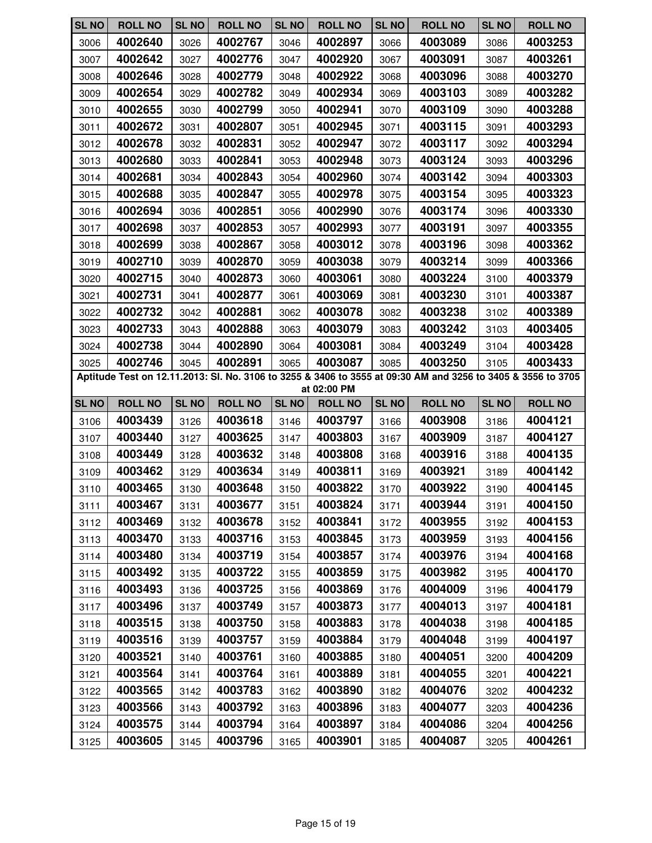| <b>SL NO</b>                                                                                                                | <b>ROLL NO</b> | <b>SL NO</b> | <b>ROLL NO</b> | <b>SL NO</b> | <b>ROLL NO</b> | <b>SL NO</b> | <b>ROLL NO</b> | <b>SL NO</b> | <b>ROLL NO</b> |
|-----------------------------------------------------------------------------------------------------------------------------|----------------|--------------|----------------|--------------|----------------|--------------|----------------|--------------|----------------|
| 3006                                                                                                                        | 4002640        | 3026         | 4002767        | 3046         | 4002897        | 3066         | 4003089        | 3086         | 4003253        |
| 3007                                                                                                                        | 4002642        | 3027         | 4002776        | 3047         | 4002920        | 3067         | 4003091        | 3087         | 4003261        |
| 3008                                                                                                                        | 4002646        | 3028         | 4002779        | 3048         | 4002922        | 3068         | 4003096        | 3088         | 4003270        |
| 3009                                                                                                                        | 4002654        | 3029         | 4002782        | 3049         | 4002934        | 3069         | 4003103        | 3089         | 4003282        |
| 3010                                                                                                                        | 4002655        | 3030         | 4002799        | 3050         | 4002941        | 3070         | 4003109        | 3090         | 4003288        |
| 3011                                                                                                                        | 4002672        | 3031         | 4002807        | 3051         | 4002945        | 3071         | 4003115        | 3091         | 4003293        |
| 3012                                                                                                                        | 4002678        | 3032         | 4002831        | 3052         | 4002947        | 3072         | 4003117        | 3092         | 4003294        |
| 3013                                                                                                                        | 4002680        | 3033         | 4002841        | 3053         | 4002948        | 3073         | 4003124        | 3093         | 4003296        |
| 3014                                                                                                                        | 4002681        | 3034         | 4002843        | 3054         | 4002960        | 3074         | 4003142        | 3094         | 4003303        |
| 3015                                                                                                                        | 4002688        | 3035         | 4002847        | 3055         | 4002978        | 3075         | 4003154        | 3095         | 4003323        |
| 3016                                                                                                                        | 4002694        | 3036         | 4002851        | 3056         | 4002990        | 3076         | 4003174        | 3096         | 4003330        |
| 3017                                                                                                                        | 4002698        | 3037         | 4002853        | 3057         | 4002993        | 3077         | 4003191        | 3097         | 4003355        |
| 3018                                                                                                                        | 4002699        | 3038         | 4002867        | 3058         | 4003012        | 3078         | 4003196        | 3098         | 4003362        |
| 3019                                                                                                                        | 4002710        | 3039         | 4002870        | 3059         | 4003038        | 3079         | 4003214        | 3099         | 4003366        |
| 3020                                                                                                                        | 4002715        | 3040         | 4002873        | 3060         | 4003061        | 3080         | 4003224        | 3100         | 4003379        |
| 3021                                                                                                                        | 4002731        | 3041         | 4002877        | 3061         | 4003069        | 3081         | 4003230        | 3101         | 4003387        |
| 3022                                                                                                                        | 4002732        | 3042         | 4002881        | 3062         | 4003078        | 3082         | 4003238        | 3102         | 4003389        |
| 3023                                                                                                                        | 4002733        | 3043         | 4002888        | 3063         | 4003079        | 3083         | 4003242        | 3103         | 4003405        |
| 3024                                                                                                                        | 4002738        | 3044         | 4002890        | 3064         | 4003081        | 3084         | 4003249        | 3104         | 4003428        |
| 3025                                                                                                                        | 4002746        | 3045         | 4002891        | 3065         | 4003087        | 3085         | 4003250        | 3105         | 4003433        |
| Aptitude Test on 12.11.2013: Sl. No. 3106 to 3255 & 3406 to 3555 at 09:30 AM and 3256 to 3405 & 3556 to 3705<br>at 02:00 PM |                |              |                |              |                |              |                |              |                |
| <b>SL NO</b>                                                                                                                | <b>ROLL NO</b> | <b>SL NO</b> | <b>ROLL NO</b> | <b>SL NO</b> | <b>ROLL NO</b> | <b>SL NO</b> | <b>ROLL NO</b> | <b>SL NO</b> | <b>ROLL NO</b> |
| 3106                                                                                                                        | 4003439        | 3126         | 4003618        | 3146         | 4003797        | 3166         | 4003908        | 3186         | 4004121        |
|                                                                                                                             |                |              |                |              |                |              |                |              |                |
| 3107                                                                                                                        | 4003440        | 3127         | 4003625        | 3147         | 4003803        | 3167         | 4003909        | 3187         | 4004127        |
| 3108                                                                                                                        | 4003449        | 3128         | 4003632        | 3148         | 4003808        | 3168         | 4003916        | 3188         | 4004135        |
| 3109                                                                                                                        | 4003462        | 3129         | 4003634        | 3149         | 4003811        | 3169         | 4003921        | 3189         | 4004142        |
| 3110                                                                                                                        | 4003465        | 3130         | 4003648        | 3150         | 4003822        | 3170         | 4003922        | 3190         | 4004145        |
| 3111                                                                                                                        | 4003467        | 3131         | 4003677        | 3151         | 4003824        | 3171         | 4003944        | 3191         | 4004150        |
| 3112                                                                                                                        | 4003469        | 3132         | 4003678        | 3152         | 4003841        | 3172         | 4003955        | 3192         | 4004153        |
| 3113                                                                                                                        | 4003470        | 3133         | 4003716        | 3153         | 4003845        | 3173         | 4003959        | 3193         | 4004156        |
| 3114                                                                                                                        | 4003480        | 3134         | 4003719        | 3154         | 4003857        | 3174         | 4003976        | 3194         | 4004168        |
| 3115                                                                                                                        | 4003492        | 3135         | 4003722        | 3155         | 4003859        | 3175         | 4003982        | 3195         | 4004170        |
| 3116                                                                                                                        | 4003493        | 3136         | 4003725        | 3156         | 4003869        | 3176         | 4004009        | 3196         | 4004179        |
| 3117                                                                                                                        | 4003496        | 3137         | 4003749        | 3157         | 4003873        | 3177         | 4004013        | 3197         | 4004181        |
| 3118                                                                                                                        | 4003515        | 3138         | 4003750        | 3158         | 4003883        | 3178         | 4004038        | 3198         | 4004185        |
| 3119                                                                                                                        | 4003516        | 3139         | 4003757        | 3159         | 4003884        | 3179         | 4004048        | 3199         | 4004197        |
| 3120                                                                                                                        | 4003521        | 3140         | 4003761        | 3160         | 4003885        | 3180         | 4004051        | 3200         | 4004209        |
| 3121                                                                                                                        | 4003564        | 3141         | 4003764        | 3161         | 4003889        | 3181         | 4004055        | 3201         | 4004221        |
| 3122                                                                                                                        | 4003565        | 3142         | 4003783        | 3162         | 4003890        | 3182         | 4004076        | 3202         | 4004232        |
| 3123                                                                                                                        | 4003566        | 3143         | 4003792        | 3163         | 4003896        | 3183         | 4004077        | 3203         | 4004236        |
| 3124                                                                                                                        | 4003575        | 3144         | 4003794        | 3164         | 4003897        | 3184         | 4004086        | 3204         | 4004256        |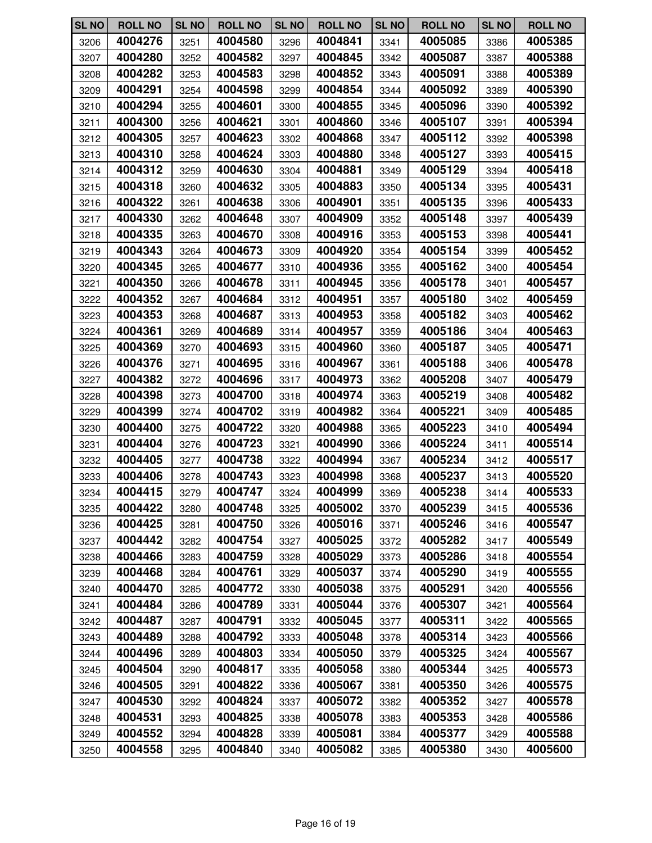| <b>SL NO</b> | <b>ROLL NO</b> | <b>SL NO</b> | <b>ROLL NO</b> | <b>SL NO</b> | <b>ROLL NO</b> | <b>SL NO</b> | <b>ROLL NO</b> | <b>SL NO</b> | <b>ROLL NO</b> |
|--------------|----------------|--------------|----------------|--------------|----------------|--------------|----------------|--------------|----------------|
| 3206         | 4004276        | 3251         | 4004580        | 3296         | 4004841        | 3341         | 4005085        | 3386         | 4005385        |
| 3207         | 4004280        | 3252         | 4004582        | 3297         | 4004845        | 3342         | 4005087        | 3387         | 4005388        |
| 3208         | 4004282        | 3253         | 4004583        | 3298         | 4004852        | 3343         | 4005091        | 3388         | 4005389        |
| 3209         | 4004291        | 3254         | 4004598        | 3299         | 4004854        | 3344         | 4005092        | 3389         | 4005390        |
| 3210         | 4004294        | 3255         | 4004601        | 3300         | 4004855        | 3345         | 4005096        | 3390         | 4005392        |
| 3211         | 4004300        | 3256         | 4004621        | 3301         | 4004860        | 3346         | 4005107        | 3391         | 4005394        |
| 3212         | 4004305        | 3257         | 4004623        | 3302         | 4004868        | 3347         | 4005112        | 3392         | 4005398        |
| 3213         | 4004310        | 3258         | 4004624        | 3303         | 4004880        | 3348         | 4005127        | 3393         | 4005415        |
| 3214         | 4004312        | 3259         | 4004630        | 3304         | 4004881        | 3349         | 4005129        | 3394         | 4005418        |
| 3215         | 4004318        | 3260         | 4004632        | 3305         | 4004883        | 3350         | 4005134        | 3395         | 4005431        |
| 3216         | 4004322        | 3261         | 4004638        | 3306         | 4004901        | 3351         | 4005135        | 3396         | 4005433        |
| 3217         | 4004330        | 3262         | 4004648        | 3307         | 4004909        | 3352         | 4005148        | 3397         | 4005439        |
| 3218         | 4004335        | 3263         | 4004670        | 3308         | 4004916        | 3353         | 4005153        | 3398         | 4005441        |
| 3219         | 4004343        | 3264         | 4004673        | 3309         | 4004920        | 3354         | 4005154        | 3399         | 4005452        |
| 3220         | 4004345        | 3265         | 4004677        | 3310         | 4004936        | 3355         | 4005162        | 3400         | 4005454        |
| 3221         | 4004350        | 3266         | 4004678        | 3311         | 4004945        | 3356         | 4005178        | 3401         | 4005457        |
| 3222         | 4004352        | 3267         | 4004684        | 3312         | 4004951        | 3357         | 4005180        | 3402         | 4005459        |
| 3223         | 4004353        | 3268         | 4004687        | 3313         | 4004953        | 3358         | 4005182        | 3403         | 4005462        |
| 3224         | 4004361        | 3269         | 4004689        | 3314         | 4004957        | 3359         | 4005186        | 3404         | 4005463        |
| 3225         | 4004369        | 3270         | 4004693        | 3315         | 4004960        | 3360         | 4005187        | 3405         | 4005471        |
| 3226         | 4004376        | 3271         | 4004695        | 3316         | 4004967        | 3361         | 4005188        | 3406         | 4005478        |
| 3227         | 4004382        | 3272         | 4004696        | 3317         | 4004973        | 3362         | 4005208        | 3407         | 4005479        |
| 3228         | 4004398        | 3273         | 4004700        | 3318         | 4004974        | 3363         | 4005219        | 3408         | 4005482        |
| 3229         | 4004399        | 3274         | 4004702        | 3319         | 4004982        | 3364         | 4005221        | 3409         | 4005485        |
| 3230         | 4004400        | 3275         | 4004722        | 3320         | 4004988        | 3365         | 4005223        | 3410         | 4005494        |
| 3231         | 4004404        | 3276         | 4004723        | 3321         | 4004990        | 3366         | 4005224        | 3411         | 4005514        |
| 3232         | 4004405        | 3277         | 4004738        | 3322         | 4004994        | 3367         | 4005234        | 3412         | 4005517        |
| 3233         | 4004406        | 3278         | 4004743        | 3323         | 4004998        | 3368         | 4005237        | 3413         | 4005520        |
| 3234         | 4004415        | 3279         | 4004747        | 3324         | 4004999        | 3369         | 4005238        | 3414         | 4005533        |
| 3235         | 4004422        | 3280         | 4004748        | 3325         | 4005002        | 3370         | 4005239        | 3415         | 4005536        |
| 3236         | 4004425        | 3281         | 4004750        | 3326         | 4005016        | 3371         | 4005246        | 3416         | 4005547        |
| 3237         | 4004442        | 3282         | 4004754        | 3327         | 4005025        | 3372         | 4005282        | 3417         | 4005549        |
| 3238         | 4004466        | 3283         | 4004759        | 3328         | 4005029        | 3373         | 4005286        | 3418         | 4005554        |
| 3239         | 4004468        | 3284         | 4004761        | 3329         | 4005037        | 3374         | 4005290        | 3419         | 4005555        |
| 3240         | 4004470        | 3285         | 4004772        | 3330         | 4005038        | 3375         | 4005291        | 3420         | 4005556        |
| 3241         | 4004484        | 3286         | 4004789        | 3331         | 4005044        | 3376         | 4005307        | 3421         | 4005564        |
| 3242         | 4004487        | 3287         | 4004791        | 3332         | 4005045        | 3377         | 4005311        | 3422         | 4005565        |
| 3243         | 4004489        | 3288         | 4004792        | 3333         | 4005048        | 3378         | 4005314        | 3423         | 4005566        |
| 3244         | 4004496        | 3289         | 4004803        | 3334         | 4005050        | 3379         | 4005325        | 3424         | 4005567        |
| 3245         | 4004504        | 3290         | 4004817        | 3335         | 4005058        | 3380         | 4005344        | 3425         | 4005573        |
| 3246         | 4004505        | 3291         | 4004822        | 3336         | 4005067        | 3381         | 4005350        | 3426         | 4005575        |
| 3247         | 4004530        | 3292         | 4004824        | 3337         | 4005072        | 3382         | 4005352        | 3427         | 4005578        |
| 3248         | 4004531        | 3293         | 4004825        | 3338         | 4005078        | 3383         | 4005353        | 3428         | 4005586        |
| 3249         | 4004552        | 3294         | 4004828        | 3339         | 4005081        | 3384         | 4005377        | 3429         | 4005588        |
| 3250         | 4004558        | 3295         | 4004840        | 3340         | 4005082        | 3385         | 4005380        | 3430         | 4005600        |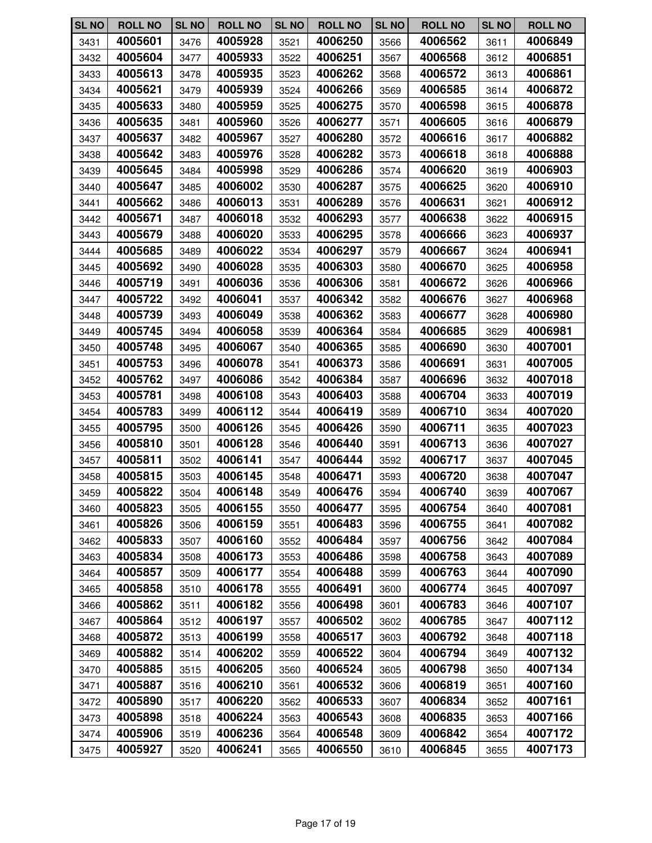| <b>SL NO</b> | <b>ROLL NO</b> | <b>SL NO</b> | <b>ROLL NO</b> | <b>SL NO</b> | <b>ROLL NO</b> | <b>SL NO</b> | <b>ROLL NO</b> | <b>SL NO</b> | <b>ROLL NO</b> |
|--------------|----------------|--------------|----------------|--------------|----------------|--------------|----------------|--------------|----------------|
| 3431         | 4005601        | 3476         | 4005928        | 3521         | 4006250        | 3566         | 4006562        | 3611         | 4006849        |
| 3432         | 4005604        | 3477         | 4005933        | 3522         | 4006251        | 3567         | 4006568        | 3612         | 4006851        |
| 3433         | 4005613        | 3478         | 4005935        | 3523         | 4006262        | 3568         | 4006572        | 3613         | 4006861        |
| 3434         | 4005621        | 3479         | 4005939        | 3524         | 4006266        | 3569         | 4006585        | 3614         | 4006872        |
| 3435         | 4005633        | 3480         | 4005959        | 3525         | 4006275        | 3570         | 4006598        | 3615         | 4006878        |
| 3436         | 4005635        | 3481         | 4005960        | 3526         | 4006277        | 3571         | 4006605        | 3616         | 4006879        |
| 3437         | 4005637        | 3482         | 4005967        | 3527         | 4006280        | 3572         | 4006616        | 3617         | 4006882        |
| 3438         | 4005642        | 3483         | 4005976        | 3528         | 4006282        | 3573         | 4006618        | 3618         | 4006888        |
| 3439         | 4005645        | 3484         | 4005998        | 3529         | 4006286        | 3574         | 4006620        | 3619         | 4006903        |
| 3440         | 4005647        | 3485         | 4006002        | 3530         | 4006287        | 3575         | 4006625        | 3620         | 4006910        |
| 3441         | 4005662        | 3486         | 4006013        | 3531         | 4006289        | 3576         | 4006631        | 3621         | 4006912        |
| 3442         | 4005671        | 3487         | 4006018        | 3532         | 4006293        | 3577         | 4006638        | 3622         | 4006915        |
| 3443         | 4005679        | 3488         | 4006020        | 3533         | 4006295        | 3578         | 4006666        | 3623         | 4006937        |
| 3444         | 4005685        | 3489         | 4006022        | 3534         | 4006297        | 3579         | 4006667        | 3624         | 4006941        |
| 3445         | 4005692        | 3490         | 4006028        | 3535         | 4006303        | 3580         | 4006670        | 3625         | 4006958        |
| 3446         | 4005719        | 3491         | 4006036        | 3536         | 4006306        | 3581         | 4006672        | 3626         | 4006966        |
| 3447         | 4005722        | 3492         | 4006041        | 3537         | 4006342        | 3582         | 4006676        | 3627         | 4006968        |
| 3448         | 4005739        | 3493         | 4006049        | 3538         | 4006362        | 3583         | 4006677        | 3628         | 4006980        |
| 3449         | 4005745        | 3494         | 4006058        | 3539         | 4006364        | 3584         | 4006685        | 3629         | 4006981        |
| 3450         | 4005748        | 3495         | 4006067        | 3540         | 4006365        | 3585         | 4006690        | 3630         | 4007001        |
| 3451         | 4005753        | 3496         | 4006078        | 3541         | 4006373        | 3586         | 4006691        | 3631         | 4007005        |
| 3452         | 4005762        | 3497         | 4006086        | 3542         | 4006384        | 3587         | 4006696        | 3632         | 4007018        |
| 3453         | 4005781        | 3498         | 4006108        | 3543         | 4006403        | 3588         | 4006704        | 3633         | 4007019        |
| 3454         | 4005783        | 3499         | 4006112        | 3544         | 4006419        | 3589         | 4006710        | 3634         | 4007020        |
| 3455         | 4005795        | 3500         | 4006126        | 3545         | 4006426        | 3590         | 4006711        | 3635         | 4007023        |
| 3456         | 4005810        | 3501         | 4006128        | 3546         | 4006440        | 3591         | 4006713        | 3636         | 4007027        |
| 3457         | 4005811        | 3502         | 4006141        | 3547         | 4006444        | 3592         | 4006717        | 3637         | 4007045        |
| 3458         | 4005815        | 3503         | 4006145        | 3548         | 4006471        | 3593         | 4006720        | 3638         | 4007047        |
| 3459         | 4005822        | 3504         | 4006148        | 3549         | 4006476        | 3594         | 4006740        | 3639         | 4007067        |
| 3460         | 4005823        | 3505         | 4006155        | 3550         | 4006477        | 3595         | 4006754        | 3640         | 4007081        |
| 3461         | 4005826        | 3506         | 4006159        | 3551         | 4006483        | 3596         | 4006755        | 3641         | 4007082        |
| 3462         | 4005833        | 3507         | 4006160        | 3552         | 4006484        | 3597         | 4006756        | 3642         | 4007084        |
| 3463         | 4005834        | 3508         | 4006173        | 3553         | 4006486        | 3598         | 4006758        | 3643         | 4007089        |
| 3464         | 4005857        | 3509         | 4006177        | 3554         | 4006488        | 3599         | 4006763        | 3644         | 4007090        |
| 3465         | 4005858        | 3510         | 4006178        | 3555         | 4006491        | 3600         | 4006774        | 3645         | 4007097        |
| 3466         | 4005862        | 3511         | 4006182        | 3556         | 4006498        | 3601         | 4006783        | 3646         | 4007107        |
| 3467         | 4005864        | 3512         | 4006197        | 3557         | 4006502        | 3602         | 4006785        | 3647         | 4007112        |
| 3468         | 4005872        | 3513         | 4006199        | 3558         | 4006517        | 3603         | 4006792        | 3648         | 4007118        |
| 3469         | 4005882        | 3514         | 4006202        | 3559         | 4006522        | 3604         | 4006794        | 3649         | 4007132        |
| 3470         | 4005885        | 3515         | 4006205        | 3560         | 4006524        | 3605         | 4006798        | 3650         | 4007134        |
| 3471         | 4005887        | 3516         | 4006210        | 3561         | 4006532        | 3606         | 4006819        | 3651         | 4007160        |
| 3472         | 4005890        | 3517         | 4006220        | 3562         | 4006533        | 3607         | 4006834        | 3652         | 4007161        |
| 3473         | 4005898        | 3518         | 4006224        | 3563         | 4006543        | 3608         | 4006835        | 3653         | 4007166        |
| 3474         | 4005906        | 3519         | 4006236        | 3564         | 4006548        | 3609         | 4006842        | 3654         | 4007172        |
| 3475         | 4005927        | 3520         | 4006241        | 3565         | 4006550        | 3610         | 4006845        | 3655         | 4007173        |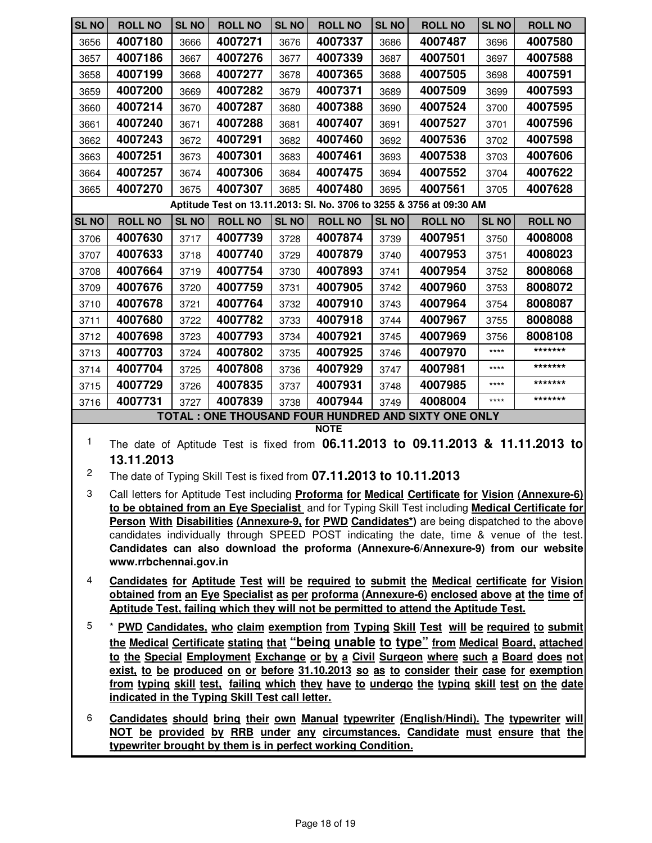| <b>SL NO</b> | <b>ROLL NO</b>                                                                                                                                                                                    | <b>SL NO</b> | <b>ROLL NO</b> | <b>SL NO</b> | <b>ROLL NO</b>                                                       | <b>SL NO</b> | <b>ROLL NO</b>                                                       | <b>SL NO</b> | <b>ROLL NO</b>                                                                                    |
|--------------|---------------------------------------------------------------------------------------------------------------------------------------------------------------------------------------------------|--------------|----------------|--------------|----------------------------------------------------------------------|--------------|----------------------------------------------------------------------|--------------|---------------------------------------------------------------------------------------------------|
| 3656         | 4007180                                                                                                                                                                                           | 3666         | 4007271        | 3676         | 4007337                                                              | 3686         | 4007487                                                              | 3696         | 4007580                                                                                           |
| 3657         | 4007186                                                                                                                                                                                           | 3667         | 4007276        | 3677         | 4007339                                                              | 3687         | 4007501                                                              | 3697         | 4007588                                                                                           |
| 3658         | 4007199                                                                                                                                                                                           | 3668         | 4007277        | 3678         | 4007365                                                              | 3688         | 4007505                                                              | 3698         | 4007591                                                                                           |
| 3659         | 4007200                                                                                                                                                                                           | 3669         | 4007282        | 3679         | 4007371                                                              | 3689         | 4007509                                                              | 3699         | 4007593                                                                                           |
| 3660         | 4007214                                                                                                                                                                                           | 3670         | 4007287        | 3680         | 4007388                                                              | 3690         | 4007524                                                              | 3700         | 4007595                                                                                           |
| 3661         | 4007240                                                                                                                                                                                           | 3671         | 4007288        | 3681         | 4007407                                                              | 3691         | 4007527                                                              | 3701         | 4007596                                                                                           |
| 3662         | 4007243                                                                                                                                                                                           | 3672         | 4007291        | 3682         | 4007460                                                              | 3692         | 4007536                                                              | 3702         | 4007598                                                                                           |
| 3663         | 4007251                                                                                                                                                                                           | 3673         | 4007301        | 3683         | 4007461                                                              | 3693         | 4007538                                                              | 3703         | 4007606                                                                                           |
| 3664         | 4007257                                                                                                                                                                                           | 3674         | 4007306        | 3684         | 4007475                                                              | 3694         | 4007552                                                              | 3704         | 4007622                                                                                           |
| 3665         | 4007270                                                                                                                                                                                           | 3675         | 4007307        | 3685         | 4007480                                                              | 3695         | 4007561                                                              | 3705         | 4007628                                                                                           |
|              |                                                                                                                                                                                                   |              |                |              |                                                                      |              | Aptitude Test on 13.11.2013: Sl. No. 3706 to 3255 & 3756 at 09:30 AM |              |                                                                                                   |
| <b>SL NO</b> | <b>ROLL NO</b>                                                                                                                                                                                    | <b>SL NO</b> | <b>ROLL NO</b> | <b>SL NO</b> | <b>ROLL NO</b>                                                       | <b>SL NO</b> | <b>ROLL NO</b>                                                       | <b>SL NO</b> | <b>ROLL NO</b>                                                                                    |
| 3706         | 4007630                                                                                                                                                                                           | 3717         | 4007739        | 3728         | 4007874                                                              | 3739         | 4007951                                                              | 3750         | 4008008                                                                                           |
| 3707         | 4007633                                                                                                                                                                                           | 3718         | 4007740        | 3729         | 4007879                                                              | 3740         | 4007953                                                              | 3751         | 4008023                                                                                           |
| 3708         | 4007664                                                                                                                                                                                           | 3719         | 4007754        | 3730         | 4007893                                                              | 3741         | 4007954                                                              | 3752         | 8008068                                                                                           |
| 3709         | 4007676                                                                                                                                                                                           | 3720         | 4007759        | 3731         | 4007905                                                              | 3742         | 4007960                                                              | 3753         | 8008072                                                                                           |
| 3710         | 4007678                                                                                                                                                                                           | 3721         | 4007764        | 3732         | 4007910                                                              | 3743         | 4007964                                                              | 3754         | 8008087                                                                                           |
| 3711         | 4007680                                                                                                                                                                                           | 3722         | 4007782        | 3733         | 4007918                                                              | 3744         | 4007967                                                              | 3755         | 8008088                                                                                           |
| 3712         | 4007698                                                                                                                                                                                           | 3723         | 4007793        | 3734         | 4007921                                                              | 3745         | 4007969                                                              | 3756         | 8008108                                                                                           |
| 3713         | 4007703                                                                                                                                                                                           | 3724         | 4007802        | 3735         | 4007925                                                              | 3746         | 4007970                                                              | ****         | *******                                                                                           |
| 3714         | 4007704                                                                                                                                                                                           | 3725         | 4007808        | 3736         | 4007929                                                              | 3747         | 4007981                                                              | ****         | *******                                                                                           |
| 3715         | 4007729                                                                                                                                                                                           | 3726         | 4007835        | 3737         | 4007931                                                              | 3748         | 4007985                                                              | ****         | *******                                                                                           |
| 3716         | 4007731                                                                                                                                                                                           | 3727         | 4007839        | 3738         | 4007944                                                              | 3749         | 4008004                                                              | ****         | *******                                                                                           |
|              |                                                                                                                                                                                                   |              |                |              |                                                                      |              | TOTAL : ONE THOUSAND FOUR HUNDRED AND SIXTY ONE ONLY                 |              |                                                                                                   |
| 1            |                                                                                                                                                                                                   |              |                |              | <b>NOTE</b>                                                          |              |                                                                      |              |                                                                                                   |
|              |                                                                                                                                                                                                   |              |                |              |                                                                      |              |                                                                      |              | The date of Aptitude Test is fixed from 06.11.2013 to 09.11.2013 & 11.11.2013 to                  |
| 2            | 13.11.2013                                                                                                                                                                                        |              |                |              |                                                                      |              |                                                                      |              |                                                                                                   |
|              |                                                                                                                                                                                                   |              |                |              | The date of Typing Skill Test is fixed from 07.11.2013 to 10.11.2013 |              |                                                                      |              |                                                                                                   |
| 3            |                                                                                                                                                                                                   |              |                |              |                                                                      |              |                                                                      |              | Call letters for Aptitude Test including Proforma for Medical Certificate for Vision (Annexure-6) |
|              | to be obtained from an Eye Specialist and for Typing Skill Test including Medical Certificate for<br>Person With Disabilities (Annexure-9, for PWD Candidates*) are being dispatched to the above |              |                |              |                                                                      |              |                                                                      |              |                                                                                                   |

- **Person With Disabilities (Annexure-9, for PWD Candidates\*)** are being dispatched to the above candidates individually through SPEED POST indicating the date, time & venue of the test. **Candidates can also download the proforma (Annexure-6/Annexure-9) from our website www.rrbchennai.gov.in**
- 4 **Candidates for Aptitude Test will be required to submit the Medical certificate for Vision obtained from an Eye Specialist as per proforma (Annexure-6) enclosed above at the time of Aptitude Test, failing which they will not be permitted to attend the Aptitude Test.**
- 5 \* **PWD Candidates, who claim exemption from Typing Skill Test will be required to submit the Medical Certificate stating that "being unable to type" from Medical Board, attached to the Special Employment Exchange or by a Civil Surgeon where such a Board does not exist, to be produced on or before 31.10.2013 so as to consider their case for exemption from typing skill test, failing which they have to undergo the typing skill test on the date indicated in the Typing Skill Test call letter.**
- 6 **Candidates should bring their own Manual typewriter (English/Hindi). The typewriter will NOT be provided by RRB under any circumstances. Candidate must ensure that the typewriter brought by them is in perfect working Condition.**